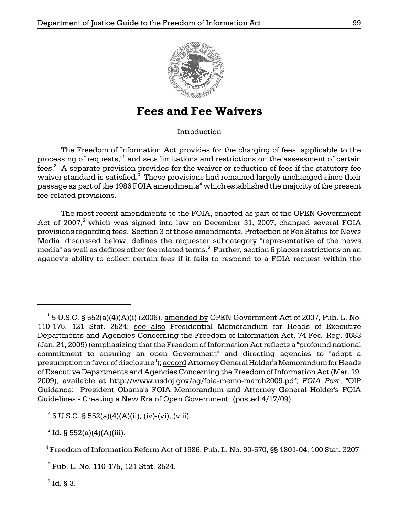

# **Fees and Fee Waivers**

## Introduction

The Freedom of Information Act provides for the charging of fees "applicable to the processing of requests,"1 and sets limitations and restrictions on the assessment of certain fees.<sup>2</sup> A separate provision provides for the waiver or reduction of fees if the statutory fee waiver standard is satisfied. $3$  These provisions had remained largely unchanged since their passage as part of the 1986 FOIA amendments $^{\rm 4}$  which established the majority of the present fee-related provisions.

The most recent amendments to the FOIA, enacted as part of the OPEN Government Act of 2007,<sup>5</sup> which was signed into law on December 31, 2007, changed several FOIA provisions regarding fees. Section 3 of those amendments, Protection of Fee Status for News Media, discussed below, defines the requester subcategory "representative of the news media" as well as defines other fee related terms. $^{\rm 6}$  Further, section 6 places restrictions on an agency's ability to collect certain fees if it fails to respond to a FOIA request within the

 $2^2$  5 U.S.C. § 552(a)(4)(A)(ii), (iv)-(vi), (viii).

 $3$  <u>Id.</u> § 552(a)(4)(A)(iii).

 $^1$  5 U.S.C. § 552(a)(4)(A)(i) (2006), <u>amended by</u> OPEN Government Act of 2007, Pub. L. No. 110-175, 121 Stat. 2524; see also Presidential Memorandum for Heads of Executive Departments and Agencies Concerning the Freedom of Information Act, 74 Fed. Reg. 4683 (Jan. 21, 2009) (emphasizing that the Freedom of Information Act reflects a "profound national commitment to ensuring an open Government" and directing agencies to "adopt a presumption in favor of disclosure"); accord Attorney General Holder's Memorandum for Heads of Executive Departments and Agencies Concerning the Freedom of Information Act (Mar. 19, 2009), available at http://www.usdoj.gov/ag/foia-memo-march2009.pdf; *FOIA Post*, "OIP Guidance: President Obama's FOIA Memorandum and Attorney General Holder's FOIA Guidelines - Creating a New Era of Open Government" (posted 4/17/09).

<sup>4</sup> Freedom of Information Reform Act of 1986, Pub. L. No. 90-570, §§ 1801-04, 100 Stat. 3207.

<sup>5</sup> Pub. L. No. 110-175, 121 Stat. 2524.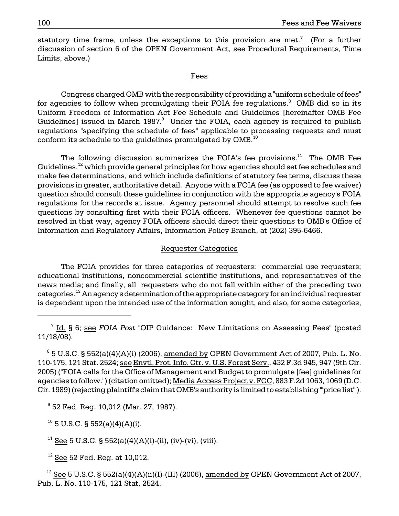statutory time frame, unless the exceptions to this provision are met.<sup>7</sup> (For a further discussion of section 6 of the OPEN Government Act, see Procedural Requirements, Time Limits, above.)

#### Fees

for agencies to follow when promulgating their FOIA fee regulations. $\mathrm{^8}\;$  OMB did so in its conform its schedule to the guidelines promulgated by OMB. $^\mathrm{10}$ Congress charged OMB with the responsibility of providing a "uniform schedule of fees" Uniform Freedom of Information Act Fee Schedule and Guidelines [hereinafter OMB Fee Guidelines] issued in March  $1987$ .<sup>9</sup> Under the FOIA, each agency is required to publish regulations "specifying the schedule of fees" applicable to processing requests and must

The following discussion summarizes the FOIA's fee provisions. $^{11}$  The OMB Fee Guidelines, $12$  which provide general principles for how agencies should set fee schedules and make fee determinations, and which include definitions of statutory fee terms, discuss these provisions in greater, authoritative detail. Anyone with a FOIA fee (as opposed to fee waiver) question should consult these guidelines in conjunction with the appropriate agency's FOIA regulations for the records at issue. Agency personnel should attempt to resolve such fee questions by consulting first with their FOIA officers. Whenever fee questions cannot be resolved in that way, agency FOIA officers should direct their questions to OMB's Office of Information and Regulatory Affairs, Information Policy Branch, at (202) 395-6466.

## Requester Categories

The FOIA provides for three categories of requesters: commercial use requesters; educational institutions, noncommercial scientific institutions, and representatives of the news media; and finally, all requesters who do not fall within either of the preceding two categories.<sup>13</sup> An agency's determination of the appropriate category for an individual requester is dependent upon the intended use of the information sought, and also, for some categories,

7 Id. § 6; see *FOIA Post* "OIP Guidance: New Limitations on Assessing Fees" (posted 11/18/08).

 110-175, 121 Stat. 2524; see Envtl. Prot. Info. Ctr. v. U.S. Forest Serv., 432 F.3d 945, 947 (9th Cir.  $^8$  5 U.S.C. § 552(a)(4)(A)(i) (2006), <u>amended by</u> OPEN Government Act of 2007, Pub. L. No. 2005) ("FOIA calls for the Office of Management and Budget to promulgate [fee] guidelines for agencies to follow.") (citation omitted); Media Access Project v. FCC, 883 F.2d 1063, 1069 (D.C. Cir. 1989) (rejecting plaintiff's claim that OMB's authority is limited to establishing "'price list'").

9 52 Fed. Reg. 10,012 (Mar. 27, 1987).

 $10$  5 U.S.C. § 552(a)(4)(A)(i).

<sup>11</sup> See 5 U.S.C. § 552(a)(4)(A)(i)-(ii), (iv)-(vi), (viii).

 $12$  See 52 Fed. Req. at 10,012.

<sup>13</sup> See 5 U.S.C. § 552(a)(4)(A)(ii)(I)-(III) (2006), amended by OPEN Government Act of 2007, Pub. L. No. 110-175, 121 Stat. 2524.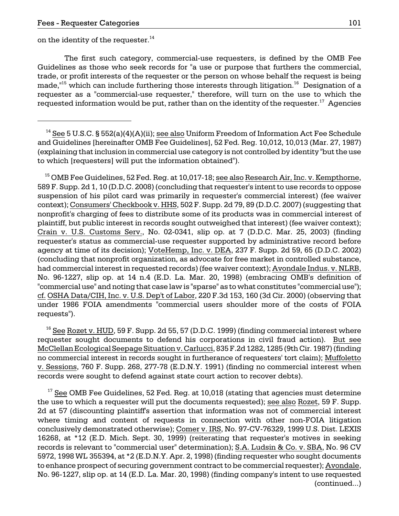on the identity of the requester.<sup>14</sup>

 The first such category, commercial-use requesters, is defined by the OMB Fee Guidelines as those who seek records for "a use or purpose that furthers the commercial, trade, or profit interests of the requester or the person on whose behalf the request is being made, $16$ <sup>15</sup> which can include furthering those interests through litigation.<sup>16</sup> Designation of a requester as a "commercial-use requester," therefore, will turn on the use to which the requested information would be put, rather than on the identity of the requester.<sup>17</sup> Agencies

<sup>15</sup> OMB Fee Guidelines, 52 Fed. Reg. at 10,017-18; <u>see also Research Air, Inc. v. Kempthorne,</u> 589 F. Supp. 2d 1, 10 (D.D.C. 2008) (concluding that requester's intent to use records to oppose suspension of his pilot card was primarily in requester's commercial interest) (fee waiver context); Consumers' Checkbook v. HHS, 502 F. Supp. 2d 79, 89 (D.D.C. 2007) (suggesting that nonprofit's charging of fees to distribute some of its products was in commercial interest of plaintiff, but public interest in records sought outweighed that interest) (fee waiver context); Crain v. U.S. Customs Serv., No. 02-0341, slip op. at 7 (D.D.C. Mar. 25, 2003) (finding requester's status as commercial-use requester supported by administrative record before agency at time of its decision); VoteHemp, Inc. v. DEA, 237 F. Supp. 2d 59, 65 (D.D.C. 2002) (concluding that nonprofit organization, as advocate for free market in controlled substance, had commercial interest in requested records) (fee waiver context); Avondale Indus. v. NLRB, No. 96-1227, slip op. at 14 n.4 (E.D. La. Mar. 20, 1998) (embracing OMB's definition of "commercial use" and noting that case law is "sparse" as to what constitutes "commercial use"); cf. OSHA Data/CIH, Inc. v. U.S. Dep't of Labor, 220 F.3d 153, 160 (3d Cir. 2000) (observing that under 1986 FOIA amendments "commercial users shoulder more of the costs of FOIA requests").

 $16$  See Rozet v. HUD, 59 F. Supp. 2d 55, 57 (D.D.C. 1999) (finding commercial interest where requester sought documents to defend his corporations in civil fraud action). But see McClellan Ecological Seepage Situation v. Carlucci, 835 F.2d 1282, 1285 (9th Cir. 1987) (finding no commercial interest in records sought in furtherance of requesters' tort claim); Muffoletto v. Sessions, 760 F. Supp. 268, 277-78 (E.D.N.Y. 1991) (finding no commercial interest when records were sought to defend against state court action to recover debts).

 $17$  See OMB Fee Guidelines, 52 Fed. Reg. at 10,018 (stating that agencies must determine the use to which a requester will put the documents requested); see also Rozet, 59 F. Supp. 2d at 57 (discounting plaintiff's assertion that information was not of commercial interest where timing and content of requests in connection with other non-FOIA litigation conclusively demonstrated otherwise); Comer v. IRS, No. 97-CV-76329, 1999 U.S. Dist. LEXIS 16268, at \*12 (E.D. Mich. Sept. 30, 1999) (reiterating that requester's motives in seeking records is relevant to "commercial user" determination); S.A. Ludsin & Co. v. SBA, No. 96 CV 5972, 1998 WL 355394, at \*2 (E.D.N.Y. Apr. 2, 1998) (finding requester who sought documents to enhance prospect of securing government contract to be commercial requester); Avondale, No. 96-1227, slip op. at 14 (E.D. La. Mar. 20, 1998) (finding company's intent to use requested (continued...)

<sup>&</sup>lt;sup>14</sup> See 5 U.S.C. § 552(a)(4)(A)(ii); see also Uniform Freedom of Information Act Fee Schedule and Guidelines [hereinafter OMB Fee Guidelines], 52 Fed. Reg. 10,012, 10,013 (Mar. 27, 1987) (explaining that inclusion in commercial use category is not controlled by identity "but the use to which [requesters] will put the information obtained").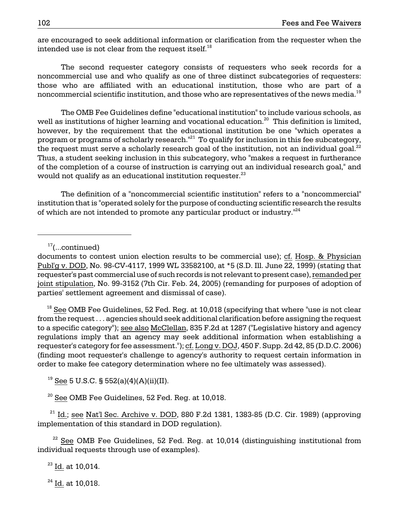are encouraged to seek additional information or clarification from the requester when the intended use is not clear from the request itself. $^{18}$ 

The second requester category consists of requesters who seek records for a noncommercial use and who qualify as one of three distinct subcategories of requesters: those who are affiliated with an educational institution, those who are part of a noncommercial scientific institution, and those who are representatives of the news media.<sup>19</sup>

would not qualify as an educational institution requester. $^{\rm 23}$ The OMB Fee Guidelines define "educational institution" to include various schools, as well as institutions of higher learning and vocational education.<sup>20</sup> This definition is limited, however, by the requirement that the educational institution be one "which operates a program or programs of scholarly research.<sup>"21</sup> To qualify for inclusion in this fee subcategory, the request must serve a scholarly research goal of the institution, not an individual goal. $^{22}$ Thus, a student seeking inclusion in this subcategory, who "makes a request in furtherance of the completion of a course of instruction is carrying out an individual research goal," and

The definition of a "noncommercial scientific institution" refers to a "noncommercial" institution that is "operated solely for the purpose of conducting scientific research the results of which are not intended to promote any particular product or industry.<sup>"24</sup>

 $18$  See OMB Fee Guidelines, 52 Fed. Reg. at 10,018 (specifying that where "use is not clear from the request . . . agencies should seek additional clarification before assigning the request to a specific category"); see also McClellan, 835 F.2d at 1287 ("Legislative history and agency regulations imply that an agency may seek additional information when establishing a requester's category for fee assessment."); cf. Long v. DOJ, 450 F. Supp. 2d 42, 85 (D.D.C. 2006) (finding moot requester's challenge to agency's authority to request certain information in order to make fee category determination where no fee ultimately was assessed).

<sup>19</sup> See 5 U.S.C. § 552(a)(4)(A)(ii)(II).

<sup>20</sup> See OMB Fee Guidelines, 52 Fed. Reg. at 10,018.

 $21$  Id.; see Nat'l Sec. Archive v. DOD, 880 F.2d 1381, 1383-85 (D.C. Cir. 1989) (approving implementation of this standard in DOD regulation).

 $22$  See OMB Fee Guidelines, 52 Fed. Reg. at 10,014 (distinguishing institutional from individual requests through use of examples).

 $23$  Id. at 10,014.

 $24$  Id. at 10,018.

 $17$ (...continued)

documents to contest union election results to be commercial use); cf. Hosp. & Physician Publ'g v. DOD, No. 98-CV-4117, 1999 WL 33582100, at \*5 (S.D. Ill. June 22, 1999) (stating that requester's past commercial use of such records is not relevant to present case), remanded per joint stipulation, No. 99-3152 (7th Cir. Feb. 24, 2005) (remanding for purposes of adoption of parties' settlement agreement and dismissal of case).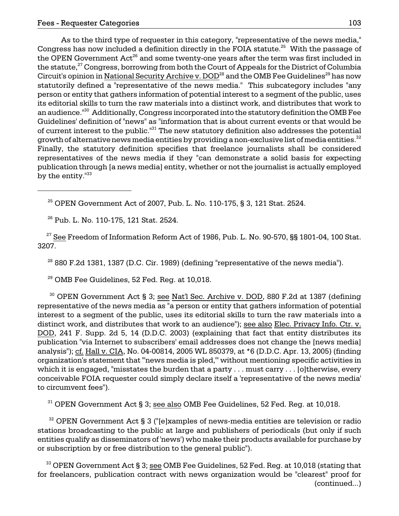As to the third type of requester in this category, "representative of the news media," Congress has now included a definition directly in the FOIA statute.<sup>25</sup> With the passage of the OPEN Government  $Act^{26}$  and some twenty-one years after the term was first included in the statute,<sup>27</sup> Congress, borrowing from both the Court of Appeals for the District of Columbia Circuit's opinion in National Security Archive v. DOD<sup>28</sup> and the OMB Fee Guidelines<sup>29</sup> has now statutorily defined a "representative of the news media." This subcategory includes "any person or entity that gathers information of potential interest to a segment of the public, uses its editorial skills to turn the raw materials into a distinct work, and distributes that work to an audience."<sup>30</sup> Additionally, Congress incorporated into the statutory definition the OMB Fee Guidelines' definition of "news" as "information that is about current events or that would be of current interest to the public. $^{131}$  The new statutory definition also addresses the potential growth of alternative news media entities by providing a non-exclusive list of media entities. $32$ Finally, the statutory definition specifies that freelance journalists shall be considered representatives of the news media if they "can demonstrate a solid basis for expecting publication through [a news media] entity, whether or not the journalist is actually employed by the entity.<sup>"33</sup>

 $^{25}$  OPEN Government Act of 2007, Pub. L. No. 110-175, § 3, 121 Stat. 2524.

26 Pub. L. No. 110-175, 121 Stat. 2524.

 $27$  See Freedom of Information Reform Act of 1986, Pub. L. No. 90-570, §§ 1801-04, 100 Stat. 3207.

 $2880$  F.2d 1381, 1387 (D.C. Cir. 1989) (defining "representative of the news media").

 $29$  OMB Fee Guidelines, 52 Fed. Reg. at 10,018.

 $30$  OPEN Government Act § 3; see Nat'l Sec. Archive v. DOD, 880 F.2d at 1387 (defining representative of the news media as "a person or entity that gathers information of potential interest to a segment of the public, uses its editorial skills to turn the raw materials into a distinct work, and distributes that work to an audience"); see also Elec. Privacy Info. Ctr. v. DOD, 241 F. Supp. 2d 5, 14 (D.D.C. 2003) (explaining that fact that entity distributes its publication "via Internet to subscribers' email addresses does not change the [news media] analysis"); cf. Hall v. CIA, No. 04-00814, 2005 WL 850379, at \*6 (D.D.C. Apr. 13, 2005) (finding organization's statement that "'news media is pled,'" without mentioning specific activities in which it is engaged, "misstates the burden that a party . . . must carry . . . [o]therwise, every conceivable FOIA requester could simply declare itself a 'representative of the news media' to circumvent fees").

 $31$  OPEN Government Act § 3; see also OMB Fee Guidelines, 52 Fed. Reg. at 10,018.

 $32$  OPEN Government Act § 3 ("[e]xamples of news-media entities are television or radio stations broadcasting to the public at large and publishers of periodicals (but only if such entities qualify as disseminators of 'news') who make their products available for purchase by or subscription by or free distribution to the general public").

 $33$  OPEN Government Act § 3; see OMB Fee Guidelines, 52 Fed. Reg. at 10,018 (stating that for freelancers, publication contract with news organization would be "clearest" proof for (continued...)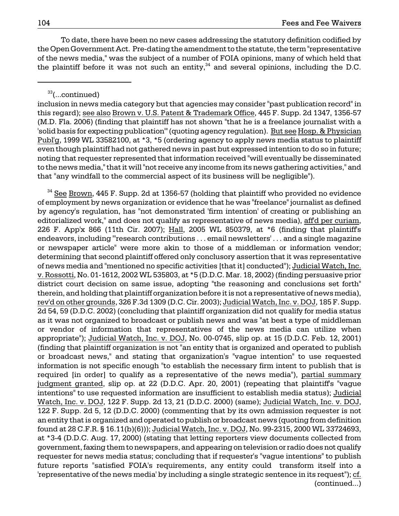To date, there have been no new cases addressing the statutory definition codified by the Open Government Act. Pre-dating the amendment to the statute, the term "representative of the news media," was the subject of a number of FOIA opinions, many of which held that the plaintiff before it was not such an entity, $34$  and several opinions, including the D.C.

33(...continued)

inclusion in news media category but that agencies may consider "past publication record" in this regard); see also Brown v. U.S. Patent & Trademark Office, 445 F. Supp. 2d 1347, 1356-57 (M.D. Fla. 2006) (finding that plaintiff has not shown "that he is a freelance journalist with a 'solid basis for expecting publication'" (quoting agency regulation). But see Hosp. & Physician Publ'g, 1999 WL 33582100, at \*3, \*5 (ordering agency to apply news media status to plaintiff even though plaintiff had not gathered news in past but expressed intention to do so in future; noting that requester represented that information received "will eventually be disseminated to the news media," that it will "not receive any income from its news gathering activities," and that "any windfall to the commercial aspect of its business will be negligible").

<sup>34</sup> See Brown, 445 F. Supp. 2d at 1356-57 (holding that plaintiff who provided no evidence of employment by news organization or evidence that he was "freelance" journalist as defined by agency's regulation, has "not demonstrated 'firm intention' of creating or publishing an editorialized work," and does not qualify as representative of news media), aff'd per curiam, 226 F. App'x 866 (11th Cir. 2007); Hall, 2005 WL 850379, at \*6 (finding that plaintiff's endeavors, including "'research contributions ... email newsletters'... and a single magazine or newspaper article" were more akin to those of a middleman or information vendor; determining that second plaintiff offered only conclusory assertion that it was representative of news media and "mentioned no specific activities [that it] conducted"); Judicial Watch, Inc. v. Rossotti, No. 01-1612, 2002 WL 535803, at \*5 (D.D.C. Mar. 18, 2002) (finding persuasive prior district court decision on same issue, adopting "the reasoning and conclusions set forth" therein, and holding that plaintiff organization before it is not a representative of news media), rev'd on other grounds, 326 F.3d 1309 (D.C. Cir. 2003); Judicial Watch, Inc. v. DOJ, 185 F. Supp. 2d 54, 59 (D.D.C. 2002) (concluding that plaintiff organization did not qualify for media status as it was not organized to broadcast or publish news and was "at best a type of middleman or vendor of information that representatives of the news media can utilize when appropriate"); Judicial Watch, Inc. v. DOJ, No. 00-0745, slip op. at 15 (D.D.C. Feb. 12, 2001) (finding that plaintiff organization is not "an entity that is organized and operated to publish or broadcast news," and stating that organization's "vague intention" to use requested information is not specific enough "to establish the necessary firm intent to publish that is required [in order] to qualify as a representative of the news media"), partial summary judgment granted, slip op. at 22 (D.D.C. Apr. 20, 2001) (repeating that plaintiff's "vague intentions" to use requested information are insufficient to establish media status); Judicial Watch, Inc. v. DOJ, 122 F. Supp. 2d 13, 21 (D.D.C. 2000) (same); Judicial Watch, Inc. v. DOJ, 122 F. Supp. 2d 5, 12 (D.D.C. 2000) (commenting that by its own admission requester is not an entity that is organized and operated to publish or broadcast news (quoting from definition found at 28 C.F.R. § 16.11(b)(6))); Judicial Watch, Inc. v. DOJ, No. 99-2315, 2000 WL 33724693, at \*3-4 (D.D.C. Aug. 17, 2000) (stating that letting reporters view documents collected from government, faxing them to newspapers, and appearing on television or radio does not qualify requester for news media status; concluding that if requester's "vague intentions" to publish future reports "satisfied FOIA's requirements, any entity could transform itself into a 'representative of the news media' by including a single strategic sentence in its request"); cf. (continued...)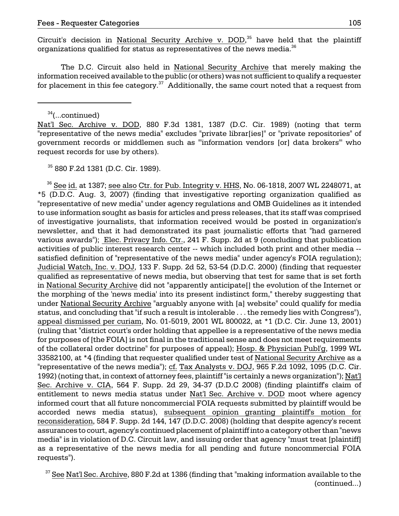Circuit's decision in National Security Archive v. DOD,<sup>35</sup> have held that the plaintiff organizations qualified for status as representatives of the news media. $36$ 

The D.C. Circuit also held in National Security Archive that merely making the information received available to the public (or others) was not sufficient to qualify a requester for placement in this fee category. $37$  Additionally, the same court noted that a request from

 $34$ (...continued)

Nat'l Sec. Archive v. DOD, 880 F.3d 1381, 1387 (D.C. Cir. 1989) (noting that term "representative of the news media" excludes "private librar[ies]" or "private repositories" of government records or middlemen such as "'information vendors [or] data brokers'" who request records for use by others).

35 880 F.2d 1381 (D.C. Cir. 1989).

 status, and concluding that "if such a result is intolerable . . . the remedy lies with Congress"), 1992) (noting that, in context of attorney fees, plaintiff "is certainly a news organization"); Nat'l  $36$  See id. at 1387; see also Ctr. for Pub. Integrity v. HHS, No. 06-1818, 2007 WL 2248071, at \*5 (D.D.C. Aug. 3, 2007) (finding that investigative reporting organization qualified as "representative of new media" under agency regulations and OMB Guidelines as it intended to use information sought as basis for articles and press releases, that its staff was comprised of investigative journalists, that information received would be posted in organization's newsletter, and that it had demonstrated its past journalistic efforts that "had garnered various awards"); Elec. Privacy Info. Ctr., 241 F. Supp. 2d at 9 (concluding that publication activities of public interest research center -- which included both print and other media satisfied definition of "representative of the news media" under agency's FOIA regulation); Judicial Watch, Inc. v. DOJ, 133 F. Supp. 2d 52, 53-54 (D.D.C. 2000) (finding that requester qualified as representative of news media, but observing that test for same that is set forth in National Security Archive did not "apparently anticipate[] the evolution of the Internet or the morphing of the 'news media' into its present indistinct form," thereby suggesting that under National Security Archive "arguably anyone with [a] website" could qualify for media appeal dismissed per curiam, No. 01-5019, 2001 WL 800022, at \*1 (D.C. Cir. June 13, 2001) (ruling that "district court's order holding that appellee is a representative of the news media for purposes of [the FOIA] is not final in the traditional sense and does not meet requirements of the collateral order doctrine" for purposes of appeal); Hosp. & Physician Publ'g, 1999 WL 33582100, at \*4 (finding that requester qualified under test of National Security Archive as a "representative of the news media"); cf. Tax Analysts v. DOJ, 965 F.2d 1092, 1095 (D.C. Cir. Sec. Archive v. CIA, 564 F. Supp. 2d 29, 34-37 (D.D.C 2008) (finding plaintiff's claim of entitlement to news media status under Nat'l Sec. Archive v. DOD moot where agency informed court that all future noncommercial FOIA requests submitted by plaintiff would be accorded news media status), subsequent opinion granting plaintiff's motion for reconsideration, 584 F. Supp. 2d 144, 147 (D.D.C. 2008) (holding that despite agency's recent assurances to court, agency's continued placement of plaintiff into a category other than "news media" is in violation of D.C. Circuit law, and issuing order that agency "must treat [plaintiff] as a representative of the news media for all pending and future noncommercial FOIA requests").

<sup>37</sup> See Nat'l Sec. Archive, 880 F.2d at 1386 (finding that "making information available to the (continued...)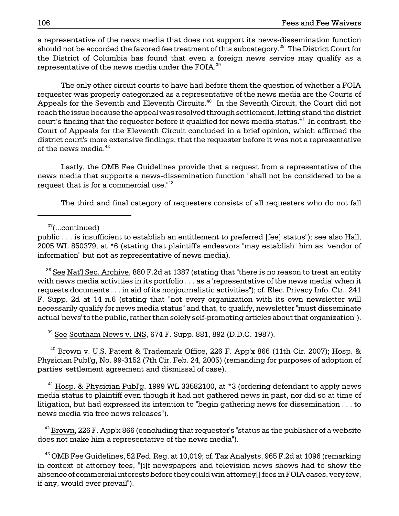a representative of the news media that does not support its news-dissemination function should not be accorded the favored fee treatment of this subcategory.<sup>38</sup> The District Court for the District of Columbia has found that even a foreign news service may qualify as a representative of the news media under the FOIA.<sup>39</sup>

The only other circuit courts to have had before them the question of whether a FOIA requester was properly categorized as a representative of the news media are the Courts of Appeals for the Seventh and Eleventh Circuits.<sup>40</sup> In the Seventh Circuit, the Court did not reach the issue because the appeal was resolved through settlement, letting stand the district court's finding that the requester before it qualified for news media status. $^{41}$  In contrast, the Court of Appeals for the Eleventh Circuit concluded in a brief opinion, which affirmed the district court's more extensive findings, that the requester before it was not a representative of the news media.<sup>42</sup>

Lastly, the OMB Fee Guidelines provide that a request from a representative of the news media that supports a news-dissemination function "shall not be considered to be a request that is for a commercial use.<sup>143</sup>

The third and final category of requesters consists of all requesters who do not fall

37(...continued)

public . . . is insufficient to establish an entitlement to preferred [fee] status"); see also Hall, 2005 WL 850379, at \*6 (stating that plaintiff's endeavors "may establish" him as "vendor of information" but not as representative of news media).

 $38$  See Nat'l Sec. Archive, 880 F.2d at 1387 (stating that "there is no reason to treat an entity with news media activities in its portfolio . . . as a 'representative of the news media' when it requests documents . . . in aid of its nonjournalistic activities"); cf. Elec. Privacy Info. Ctr., 241 F. Supp. 2d at 14 n.6 (stating that "not every organization with its own newsletter will necessarily qualify for news media status" and that, to qualify, newsletter "must disseminate actual 'news' to the public, rather than solely self-promoting articles about that organization").

 $39$  See Southam News v. INS, 674 F. Supp. 881, 892 (D.D.C. 1987).

 $40$  Brown v. U.S. Patent & Trademark Office, 226 F. App'x 866 (11th Cir. 2007); Hosp. & Physician Publ'g, No. 99-3152 (7th Cir. Feb. 24, 2005) (remanding for purposes of adoption of parties' settlement agreement and dismissal of case).

 $^{41}$  Hosp. & Physician Publ'g, 1999 WL 33582100, at \*3 (ordering defendant to apply news media status to plaintiff even though it had not gathered news in past, nor did so at time of litigation, but had expressed its intention to "begin gathering news for dissemination . . . to news media via free news releases").

 $42$  Brown, 226 F. App'x 866 (concluding that requester's "status as the publisher of a website does not make him a representative of the news media").

 $^{43}$  OMB Fee Guidelines, 52 Fed. Reg. at 10,019; cf. Tax Analysts, 965 F.2d at 1096 (remarking in context of attorney fees, "[i]f newspapers and television news shows had to show the absence of commercial interests before they could win attorney[] fees in FOIA cases, very few, if any, would ever prevail").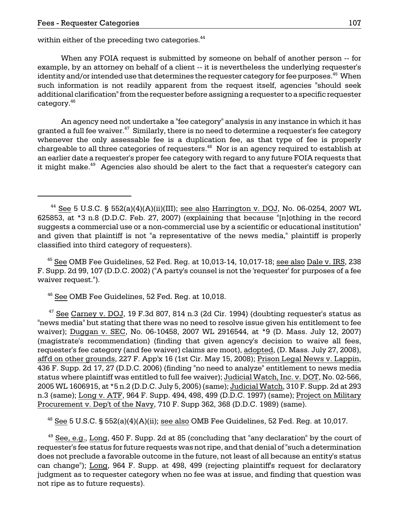within either of the preceding two categories.<sup>44</sup>

When any FOIA request is submitted by someone on behalf of another person -- for example, by an attorney on behalf of a client -- it is nevertheless the underlying requester's identity and/or intended use that determines the requester category for fee purposes. $45$  When such information is not readily apparent from the request itself, agencies "should seek additional clarification" from the requester before assigning a requester to a specific requester category.46

An agency need not undertake a "fee category" analysis in any instance in which it has granted a full fee waiver. $47$  Similarly, there is no need to determine a requester's fee category whenever the only assessable fee is a duplication fee, as that type of fee is properly chargeable to all three categories of requesters.<sup>48</sup> Nor is an agency required to establish at an earlier date a requester's proper fee category with regard to any future FOIA requests that it might make.<sup>49</sup> Agencies also should be alert to the fact that a requester's category can

 $45$  See OMB Fee Guidelines, 52 Fed. Reg. at 10,013-14, 10,017-18; see also Dale v. IRS, 238 F. Supp. 2d 99, 107 (D.D.C. 2002) ("A party's counsel is not the 'requester' for purposes of a fee waiver request.").

46 See OMB Fee Guidelines, 52 Fed. Reg. at 10,018.

 $47$  See Carney v. DOJ, 19 F.3d 807, 814 n.3 (2d Cir. 1994) (doubting requester's status as "news media" but stating that there was no need to resolve issue given his entitlement to fee waiver); Duggan v. SEC, No. 06-10458, 2007 WL 2916544, at \*9 (D. Mass. July 12, 2007) (magistrate's recommendation) (finding that given agency's decision to waive all fees, requester's fee category (and fee waiver) claims are moot), adopted, (D. Mass. July 27, 2008), aff'd on other grounds, 227 F. App'x 16 (1st Cir. May 15, 2008); Prison Legal News v. Lappin, 436 F. Supp. 2d 17, 27 (D.D.C. 2006) (finding "no need to analyze" entitlement to news media status where plaintiff was entitled to full fee waiver); Judicial Watch, Inc. v. DOT, No. 02-566, 2005 WL 1606915, at \*5 n.2 (D.D.C. July 5, 2005) (same); Judicial Watch, 310 F. Supp. 2d at 293 n.3 (same); Long v. ATF, 964 F. Supp. 494, 498, 499 (D.D.C. 1997) (same); Project on Military Procurement v. Dep't of the Navy, 710 F. Supp 362, 368 (D.D.C. 1989) (same).

 $48$  See 5 U.S.C. § 552(a)(4)(A)(ii); see also OMB Fee Guidelines, 52 Fed. Reg. at 10,017.

 $49$  See, e.g., Long, 450 F. Supp. 2d at 85 (concluding that "any declaration" by the court of requester's fee status for future requests was not ripe, and that denial of "such a determination does not preclude a favorable outcome in the future, not least of all because an entity's status can change"); Long, 964 F. Supp. at 498, 499 (rejecting plaintiff's request for declaratory judgment as to requester category when no fee was at issue, and finding that question was not ripe as to future requests).

<sup>&</sup>lt;sup>44</sup> See 5 U.S.C. § 552(a)(4)(A)(ii)(III); see also Harrington v. DOJ, No. 06-0254, 2007 WL 625853, at \*3 n.8 (D.D.C. Feb. 27, 2007) (explaining that because "[n]othing in the record suggests a commercial use or a non-commercial use by a scientific or educational institution" and given that plaintiff is not "a representative of the news media," plaintiff is properly classified into third category of requesters).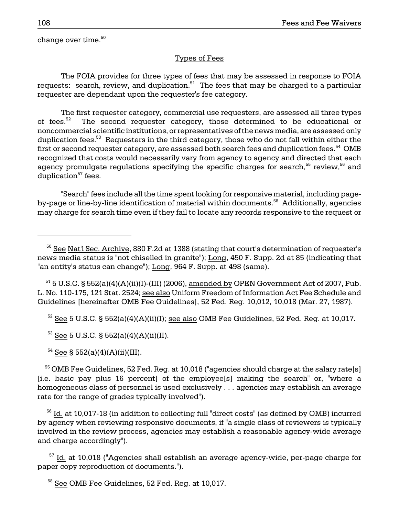change over time. $50$ 

## Types of Fees

The FOIA provides for three types of fees that may be assessed in response to FOIA requests: search, review, and duplication.<sup>51</sup> The fees that may be charged to a particular requester are dependant upon the requester's fee category.

The first requester category, commercial use requesters, are assessed all three types of fees.<sup>52</sup> The second requester category, those determined to be educational or noncommercial scientific institutions, or representatives of the news media, are assessed only duplication fees.<sup>53</sup> Requesters in the third category, those who do not fall within either the first or second requester category, are assessed both search fees and duplication fees. $54$  OMB recognized that costs would necessarily vary from agency to agency and directed that each agency promulgate regulations specifying the specific charges for search,<sup>55</sup> review,<sup>56</sup> and duplication $57$  fees.

"Search" fees include all the time spent looking for responsive material, including pageby-page or line-by-line identification of material within documents.<sup>58</sup> Additionally, agencies may charge for search time even if they fail to locate any records responsive to the request or

 $51$  5 U.S.C. § 552(a)(4)(A)(ii)(I)-(III) (2006), amended by OPEN Government Act of 2007, Pub. L. No. 110-175, 121 Stat. 2524; see also Uniform Freedom of Information Act Fee Schedule and Guidelines [hereinafter OMB Fee Guidelines], 52 Fed. Reg. 10,012, 10,018 (Mar. 27, 1987).

 $52$  See 5 U.S.C. § 552(a)(4)(A)(ii)(I); see also OMB Fee Guidelines, 52 Fed. Reg. at 10,017.

 $53$  See 5 U.S.C. § 552(a)(4)(A)(ii)(II).

 $54$  See § 552(a)(4)(A)(ii)(III).

 $55$  OMB Fee Guidelines, 52 Fed. Reg. at 10,018 ("agencies should charge at the salary rate[s] [i.e. basic pay plus 16 percent] of the employee[s] making the search" or, "where a homogeneous class of personnel is used exclusively . . . agencies may establish an average rate for the range of grades typically involved").

 56 Id. at 10,017-18 (in addition to collecting full "direct costs" (as defined by OMB) incurred by agency when reviewing responsive documents, if "a single class of reviewers is typically involved in the review process, agencies may establish a reasonable agency-wide average and charge accordingly").

 $57$  Id. at 10,018 ("Agencies shall establish an average agency-wide, per-page charge for paper copy reproduction of documents.").

<sup>58</sup> See OMB Fee Guidelines, 52 Fed. Reg. at 10,017.

 $50$  See Nat'l Sec. Archive, 880 F.2d at 1388 (stating that court's determination of requester's news media status is "not chiselled in granite"); Long, 450 F. Supp. 2d at 85 (indicating that "an entity's status can change"); Long, 964 F. Supp. at 498 (same).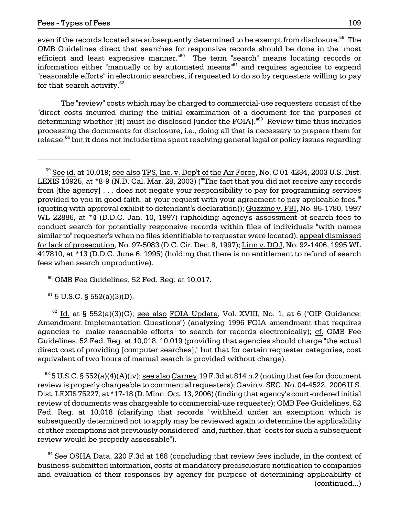even if the records located are subsequently determined to be exempt from disclosure.<sup>59</sup> The OMB Guidelines direct that searches for responsive records should be done in the "most efficient and least expensive manner.<sup>"60</sup> The term "search" means locating records or information either "manually or by automated means"<sup>61</sup> and requires agencies to expend "reasonable efforts" in electronic searches, if requested to do so by requesters willing to pay for that search activity. $62$ 

The "review" costs which may be charged to commercial-use requesters consist of the "direct costs incurred during the initial examination of a document for the purposes of determining whether [it] must be disclosed [under the FOIA].<sup>163</sup> Review time thus includes processing the documents for disclosure, i.e., doing all that is necessary to prepare them for release,<sup>64</sup> but it does not include time spent resolving general legal or policy issues regarding

60 OMB Fee Guidelines, 52 Fed. Reg. at 10,017.

 $61$  5 U.S.C. § 552(a)(3)(D).

 $62$  Id. at § 552(a)(3)(C); see also FOIA Update, Vol. XVIII, No. 1, at 6 ("OIP Guidance: Amendment Implementation Questions") (analyzing 1996 FOIA amendment that requires agencies to "make reasonable efforts" to search for records electronically); cf. OMB Fee Guidelines, 52 Fed. Reg. at 10,018, 10,019 (providing that agencies should charge "the actual direct cost of providing [computer searches]," but that for certain requester categories, cost equivalent of two hours of manual search is provided without charge).

 $^{63}$  5 U.S.C. § 552(a)(4)(A)(iv); see also Carney, 19 F.3d at 814 n.2 (noting that fee for document review is properly chargeable to commercial requesters); Gavin v. SEC, No. 04-4522, 2006 U.S. Dist. LEXIS 75227, at \*17-18 (D. Minn. Oct. 13, 2006) (finding that agency's court-ordered initial review of documents was chargeable to commercial-use requester); OMB Fee Guidelines, 52 Fed. Reg. at 10,018 (clarifying that records "withheld under an exemption which is subsequently determined not to apply may be reviewed again to determine the applicability of other exemptions not previously considered" and, further, that "costs for such a subsequent review would be properly assessable").

 $64$  See OSHA Data, 220 F.3d at 168 (concluding that review fees include, in the context of business-submitted information, costs of mandatory predisclosure notification to companies and evaluation of their responses by agency for purpose of determining applicability of (continued...)

 WL 22886, at \*4 (D.D.C. Jan. 10, 1997) (upholding agency's assessment of search fees to for lack of prosecution, No. 97-5083 (D.C. Cir. Dec. 8, 1997); Linn v. DOJ, No. 92-1406, 1995 WL <sup>59</sup> See id. at 10,019; see also TPS, Inc. v. Dep't of the Air Force, No. C 01-4284, 2003 U.S. Dist. LEXIS 10925, at \*8-9 (N.D. Cal. Mar. 28, 2003) ("'The fact that you did not receive any records from [the agency] . . . does not negate your responsibility to pay for programming services provided to you in good faith, at your request with your agreement to pay applicable fees.'" (quoting with approval exhibit to defendant's declaration)); Guzzino v. FBI, No. 95-1780, 1997 conduct search for potentially responsive records within files of individuals "with names similar to" requester's when no files identifiable to requester were located), appeal dismissed 417810, at \*13 (D.D.C. June 6, 1995) (holding that there is no entitlement to refund of search fees when search unproductive).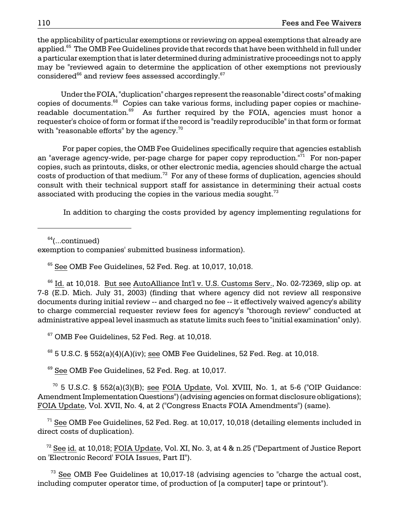the applicability of particular exemptions or reviewing on appeal exemptions that already are applied.<sup>65</sup> The OMB Fee Guidelines provide that records that have been withheld in full under a particular exemption that is later determined during administrative proceedings not to apply may be "reviewed again to determine the application of other exemptions not previously considered $66$  and review fees assessed accordingly. $67$ 

Under the FOIA, "duplication" charges represent the reasonable "direct costs" of making copies of documents.<sup>68</sup> Copies can take various forms, including paper copies or machinereadable documentation. $69$  As further required by the FOIA, agencies must honor a requester's choice of form or format if the record is "readily reproducible" in that form or format with "reasonable efforts" by the agency. $70$ 

costs of production of that medium. $^{72}$  For any of these forms of duplication, agencies should For paper copies, the OMB Fee Guidelines specifically require that agencies establish an "average agency-wide, per-page charge for paper copy reproduction."<sup>71</sup> For non-paper copies, such as printouts, disks, or other electronic media, agencies should charge the actual consult with their technical support staff for assistance in determining their actual costs associated with producing the copies in the various media sought. $^{73}$ 

In addition to charging the costs provided by agency implementing regulations for

 $64$ (...continued)

exemption to companies' submitted business information).

 $65$  See OMB Fee Guidelines, 52 Fed. Reg. at 10,017, 10,018.

 $66$  Id. at 10,018. But see AutoAlliance Int'l v. U.S. Customs Serv., No. 02-72369, slip op. at 7-8 (E.D. Mich. July 31, 2003) (finding that where agency did not review all responsive documents during initial review -- and charged no fee -- it effectively waived agency's ability to charge commercial requester review fees for agency's "thorough review" conducted at administrative appeal level inasmuch as statute limits such fees to "initial examination" only).

 $67$  OMB Fee Guidelines, 52 Fed. Req. at 10,018.

 $68$  5 U.S.C. § 552(a)(4)(A)(iv); see OMB Fee Guidelines, 52 Fed. Reg. at 10,018.

<sup>69</sup> See OMB Fee Guidelines, 52 Fed. Reg. at 10,017.

 $70$  5 U.S.C. § 552(a)(3)(B); see FOIA Update, Vol. XVIII, No. 1, at 5-6 ("OIP Guidance: Amendment Implementation Questions") (advising agencies on format disclosure obligations); FOIA Update, Vol. XVII, No. 4, at 2 ("Congress Enacts FOIA Amendments") (same).

direct costs of duplication).  $71$  See OMB Fee Guidelines, 52 Fed. Reg. at 10,017, 10,018 (detailing elements included in

 $^{72}$  See id. at 10,018; FOIA Update, Vol. XI, No. 3, at 4 & n.25 ("Department of Justice Report on 'Electronic Record' FOIA Issues, Part II").

 $73$  See OMB Fee Guidelines at 10,017-18 (advising agencies to "charge the actual cost, including computer operator time, of production of [a computer] tape or printout").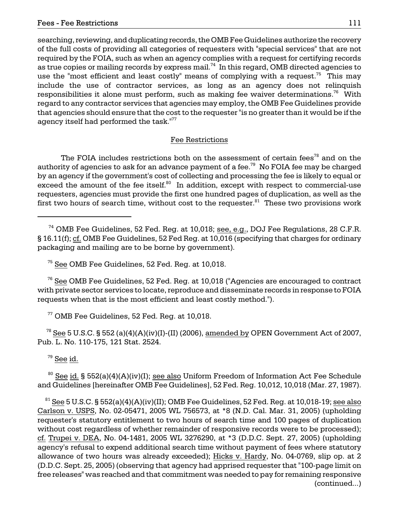searching, reviewing, and duplicating records, the OMB Fee Guidelines authorize the recovery of the full costs of providing all categories of requesters with "special services" that are not required by the FOIA, such as when an agency complies with a request for certifying records as true copies or mailing records by express mail.<sup>74</sup> In this regard, OMB directed agencies to use the "most efficient and least costly" means of complying with a request.<sup>75</sup> This may include the use of contractor services, as long as an agency does not relinquish responsibilities it alone must perform, such as making fee waiver determinations.<sup>76</sup> With regard to any contractor services that agencies may employ, the OMB Fee Guidelines provide that agencies should ensure that the cost to the requester "is no greater than it would be if the agency itself had performed the task."<sup>77</sup>

#### Fee Restrictions

The FOIA includes restrictions both on the assessment of certain fees<sup>78</sup> and on the authority of agencies to ask for an advance payment of a fee.<sup>79</sup> No FOIA fee may be charged by an agency if the government's cost of collecting and processing the fee is likely to equal or exceed the amount of the fee itself.<sup>80</sup> In addition, except with respect to commercial-use requesters, agencies must provide the first one hundred pages of duplication, as well as the first two hours of search time, without cost to the requester. $81$  These two provisions work

75 See OMB Fee Guidelines, 52 Fed. Reg. at 10,018.

 76 See OMB Fee Guidelines, 52 Fed. Reg. at 10,018 ("Agencies are encouraged to contract with private sector services to locate, reproduce and disseminate records in response to FOIA requests when that is the most efficient and least costly method.").

77 OMB Fee Guidelines, 52 Fed. Reg. at 10,018.

<sup>78</sup> See 5 U.S.C. § 552 (a)(4)(A)(iv)(I)-(II) (2006), amended by OPEN Government Act of 2007, Pub. L. No. 110-175, 121 Stat. 2524.

 $79$  See id.

<sup>80</sup> See id. § 552(a)(4)(A)(iv)(I); see also Uniform Freedom of Information Act Fee Schedule and Guidelines [hereinafter OMB Fee Guidelines], 52 Fed. Reg. 10,012, 10,018 (Mar. 27, 1987).

 $81$  See 5 U.S.C. § 552(a)(4)(A)(iv)(II); OMB Fee Guidelines, 52 Fed. Reg. at 10,018-19; see also Carlson v. USPS, No. 02-05471, 2005 WL 756573, at \*8 (N.D. Cal. Mar. 31, 2005) (upholding requester's statutory entitlement to two hours of search time and 100 pages of duplication without cost regardless of whether remainder of responsive records were to be processed); cf. Trupei v. DEA, No. 04-1481, 2005 WL 3276290, at \*3 (D.D.C. Sept. 27, 2005) (upholding agency's refusal to expend additional search time without payment of fees where statutory allowance of two hours was already exceeded); Hicks v. Hardy, No. 04-0769, slip op. at 2 (D.D.C. Sept. 25, 2005) (observing that agency had apprised requester that "100-page limit on free releases" was reached and that commitment was needed to pay for remaining responsive (continued...)

<sup>&</sup>lt;sup>74</sup> OMB Fee Guidelines, 52 Fed. Reg. at 10,018; <u>see, e.g.</u>, DOJ Fee Regulations, 28 C.F.R. § 16.11(f); cf. OMB Fee Guidelines, 52 Fed Reg. at 10,016 (specifying that charges for ordinary packaging and mailing are to be borne by government).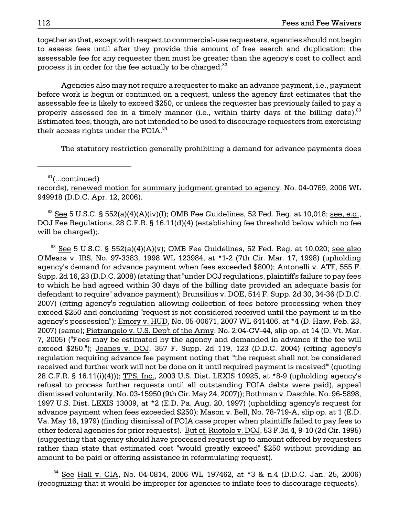process it in order for the fee actually to be charged. $^{82}$ together so that, except with respect to commercial-use requesters, agencies should not begin to assess fees until after they provide this amount of free search and duplication; the assessable fee for any requester then must be greater than the agency's cost to collect and

Agencies also may not require a requester to make an advance payment, i.e., payment before work is begun or continued on a request, unless the agency first estimates that the assessable fee is likely to exceed \$250, or unless the requester has previously failed to pay a properly assessed fee in a timely manner (i.e., within thirty days of the billing date). $83$ Estimated fees, though, are not intended to be used to discourage requesters from exercising their access rights under the FOIA. $84$ 

The statutory restriction generally prohibiting a demand for advance payments does

 $81$ (...continued)

records), renewed motion for summary judgment granted to agency, No. 04-0769, 2006 WL 949918 (D.D.C. Apr. 12, 2006).

 $82$  See 5 U.S.C. § 552(a)(4)(A)(iv)(I); OMB Fee Guidelines, 52 Fed. Reg. at 10,018; see, e.g., DOJ Fee Regulations, 28 C.F.R. § 16.11(d)(4) (establishing fee threshold below which no fee will be charged);.

agency's possession"); <u>Emory v. HUD,</u> No. 05-00671, 2007 WL 641406, at \*4 (D. Haw. Feb. 23, dismissed voluntarily, No. 03-15950 (9th Cir. May 24, 2007)); <u>Rothman v. Daschle,</u> No. 96-5898, (suggesting that agency should have processed request up to amount offered by requesters <sup>83</sup> See 5 U.S.C. § 552(a)(4)(A)(v); OMB Fee Guidelines, 52 Fed. Reg. at 10,020; see also O'Meara v. IRS, No. 97-3383, 1998 WL 123984, at \*1-2 (7th Cir. Mar. 17, 1998) (upholding agency's demand for advance payment when fees exceeded \$800); Antonelli v. ATF, 555 F. Supp. 2d 16, 23 (D.D.C. 2008) (stating that "under DOJ regulations, plaintiff's failure to pay fees to which he had agreed within 30 days of the billing date provided an adequate basis for defendant to require" advance payment); Brunsilius v. DOE, 514 F. Supp. 2d 30, 34-36 (D.D.C. 2007) (citing agency's regulation allowing collection of fees before processing when they exceed \$250 and concluding "request is not considered received until the payment is in the 2007) (same); Pietrangelo v. U.S. Dep't of the Army, No. 2:04-CV-44, slip op. at 14 (D. Vt. Mar. 7, 2005) ("Fees may be estimated by the agency and demanded in advance if the fee will exceed \$250."); Jeanes v. DOJ, 357 F. Supp. 2d 119, 123 (D.D.C. 2004) (citing agency's regulation requiring advance fee payment noting that "'the request shall not be considered received and further work will not be done on it until required payment is received'" (quoting 28 C.F.R. § 16.11(i)(4))); TPS, Inc., 2003 U.S. Dist. LEXIS 10925, at \*8-9 (upholding agency's refusal to process further requests until all outstanding FOIA debts were paid), appeal 1997 U.S. Dist. LEXIS 13009, at \*2 (E.D. Pa. Aug. 20, 1997) (upholding agency's request for advance payment when fees exceeded \$250); Mason v. Bell, No. 78-719-A, slip op. at 1 (E.D. Va. May 16, 1979) (finding dismissal of FOIA case proper when plaintiffs failed to pay fees to other federal agencies for prior requests). But cf. Ruotolo v. DOJ, 53 F.3d 4, 9-10 (2d Cir. 1995) rather than state that estimated cost "would greatly exceed" \$250 without providing an amount to be paid or offering assistance in reformulating request).

 $84$  See Hall v. CIA, No. 04-0814, 2006 WL 197462, at \*3 & n.4 (D.D.C. Jan. 25, 2006) (recognizing that it would be improper for agencies to inflate fees to discourage requests).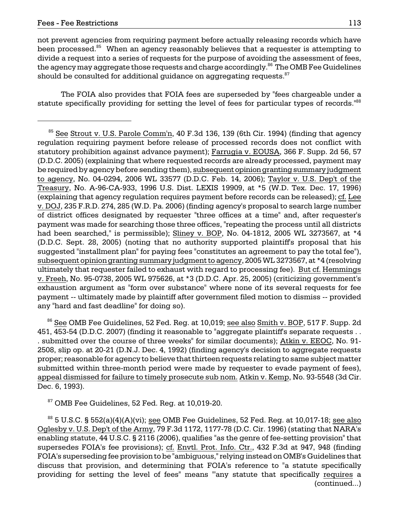not prevent agencies from requiring payment before actually releasing records which have been processed.<sup>85</sup> When an agency reasonably believes that a requester is attempting to divide a request into a series of requests for the purpose of avoiding the assessment of fees, the agency may aggregate those requests and charge accordingly. $86$  The OMB Fee Guidelines should be consulted for additional guidance on aggregating requests.<sup>87</sup>

The FOIA also provides that FOIA fees are superseded by "fees chargeable under a statute specifically providing for setting the level of fees for particular types of records."<sup>88</sup>

<sup>86</sup> See OMB Fee Guidelines, 52 Fed. Reg. at 10,019; see also Smith v. BOP, 517 F. Supp. 2d 451, 453-54 (D.D.C. 2007) (finding it reasonable to "aggregate plaintiff's separate requests . . . submitted over the course of three weeks" for similar documents); Atkin v. EEOC, No. 91 2508, slip op. at 20-21 (D.N.J. Dec. 4, 1992) (finding agency's decision to aggregate requests proper; reasonable for agency to believe that thirteen requests relating to same subject matter submitted within three-month period were made by requester to evade payment of fees), appeal dismissed for failure to timely prosecute sub nom. Atkin v. Kemp, No. 93-5548 (3d Cir. Dec. 6, 1993).

<sup>87</sup> OMB Fee Guidelines, 52 Fed. Reg. at 10,019-20.

 $88$  5 U.S.C. § 552(a)(4)(A)(vi); see OMB Fee Guidelines, 52 Fed. Reg. at 10,017-18; see also Oglesby v. U.S. Dep't of the Army, 79 F.3d 1172, 1177-78 (D.C. Cir. 1996) (stating that NARA's enabling statute, 44 U.S.C. § 2116 (2006), qualifies "as the genre of fee-setting provision" that supersedes FOIA's fee provisions); cf. Envtl. Prot. Info. Ctr., 432 F.3d at 947, 948 (finding FOIA's superseding fee provision to be "ambiguous," relying instead on OMB's Guidelines that discuss that provision, and determining that FOIA's reference to "a statute specifically providing for setting the level of fees" means "any statute that specifically requires a (continued...)

 $85$  See Strout v. U.S. Parole Comm'n, 40 F.3d 136, 139 (6th Cir. 1994) (finding that agency regulation requiring payment before release of processed records does not conflict with statutory prohibition against advance payment); Farrugia v. EOUSA, 366 F. Supp. 2d 56, 57 (D.D.C. 2005) (explaining that where requested records are already processed, payment may be required by agency before sending them), subsequent opinion granting summary judgment to agency, No. 04-0294, 2006 WL 33577 (D.D.C. Feb. 14, 2006); Taylor v. U.S. Dep't of the Treasury, No. A-96-CA-933, 1996 U.S. Dist. LEXIS 19909, at \*5 (W.D. Tex. Dec. 17, 1996) (explaining that agency regulation requires payment before records can be released); cf. Lee v. DOJ, 235 F.R.D. 274, 285 (W.D. Pa. 2006) (finding agency's proposal to search large number of district offices designated by requester "three offices at a time" and, after requester's payment was made for searching those three offices, "repeating the process until all districts had been searched," is permissible); Sliney v. BOP, No. 04-1812, 2005 WL 3273567, at \*4 (D.D.C. Sept. 28, 2005) (noting that no authority supported plaintiff's proposal that his suggested "installment plan" for paying fees "constitutes an agreement to pay the total fee"), subsequent opinion granting summary judgment to agency, 2005 WL 3273567, at \*4 (resolving ultimately that requester failed to exhaust with regard to processing fee). But cf. Hemmings v. Freeh, No. 95-0738, 2005 WL 975626, at \*3 (D.D.C. Apr. 25, 2005) (criticizing government's exhaustion argument as "form over substance" where none of its several requests for fee payment -- ultimately made by plaintiff after government filed motion to dismiss -- provided any "hard and fast deadline" for doing so).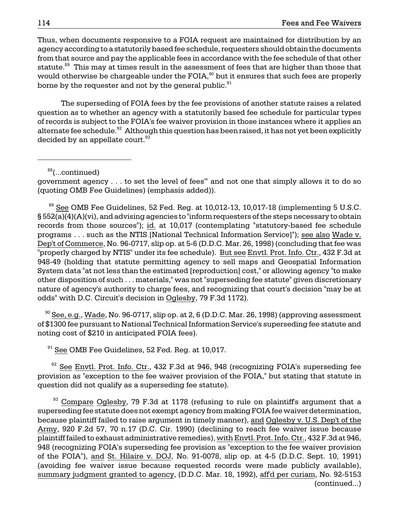borne by the requester and not by the general public. $^{\textrm{\textregistered}}$ Thus, when documents responsive to a FOIA request are maintained for distribution by an agency according to a statutorily based fee schedule, requesters should obtain the documents from that source and pay the applicable fees in accordance with the fee schedule of that other statute.<sup>89</sup> This may at times result in the assessment of fees that are higher than those that would otherwise be chargeable under the FOIA,<sup>90</sup> but it ensures that such fees are properly

alternate fee schedule. $^{92}$  Although this question has been raised, it has not yet been explicitly The superseding of FOIA fees by the fee provisions of another statute raises a related question as to whether an agency with a statutorily based fee schedule for particular types of records is subject to the FOIA's fee waiver provision in those instances where it applies an decided by an appellate court. $93$ 

88(...continued)

"properly charged by NTIS" under its fee schedule). <u>But see Envtl. Prot. Info. Ctr.,</u> 432 F.3d at System data "at not less than the estimated [reproduction] cost," or allowing agency "to make  $89$  See OMB Fee Guidelines, 52 Fed. Reg. at 10,012-13, 10,017-18 (implementing 5 U.S.C. § 552(a)(4)(A)(vi), and advising agencies to "inform requesters of the steps necessary to obtain records from those sources"); id. at 10,017 (contemplating "statutory-based fee schedule programs . . . such as the NTIS [National Technical Information Service]"); see also Wade v. Dep't of Commerce, No. 96-0717, slip op. at 5-6 (D.D.C. Mar. 26, 1998) (concluding that fee was 948-49 (holding that statute permitting agency to sell maps and Geospatial Information other disposition of such . . . materials," was not "superseding fee statute" given discretionary nature of agency's authority to charge fees, and recognizing that court's decision "may be at odds" with D.C. Circuit's decision in Oglesby, 79 F.3d 1172).

 $^{90}$  See, e.g., Wade, No. 96-0717, slip op. at 2, 6 (D.D.C. Mar. 26, 1998) (approving assessment of \$1300 fee pursuant to National Technical Information Service's superseding fee statute and noting cost of \$210 in anticipated FOIA fees).

 $91$  See OMB Fee Guidelines, 52 Fed. Reg. at 10,017.

 $92$  See Envtl. Prot. Info. Ctr., 432 F.3d at 946, 948 (recognizing FOIA's superseding fee provision as "exception to the fee waiver provision of the FOIA," but stating that statute in question did not qualify as a superseding fee statute).

because plaintiff failed to raise argument in timely manner), and Oglesby v. U.S. Dep't of the  $93$  Compare Oglesby, 79 F.3d at 1178 (refusing to rule on plaintiff's argument that a superseding fee statute does not exempt agency from making FOIA fee waiver determination, Army, 920 F.2d 57, 70 n.17 (D.C. Cir. 1990) (declining to reach fee waiver issue because plaintiff failed to exhaust administrative remedies), with Envtl. Prot. Info. Ctr., 432 F.3d at 946, 948 (recognizing FOIA's superseding fee provision as "exception to the fee waiver provision of the FOIA"), and St. Hilaire v. DOJ, No. 91-0078, slip op. at 4-5 (D.D.C. Sept. 10, 1991) (avoiding fee waiver issue because requested records were made publicly available), summary judgment granted to agency, (D.D.C. Mar. 18, 1992), aff'd per curiam, No. 92-5153 (continued...)

government agency . . . to set the level of fees'" and not one that simply allows it to do so (quoting OMB Fee Guidelines) (emphasis added)).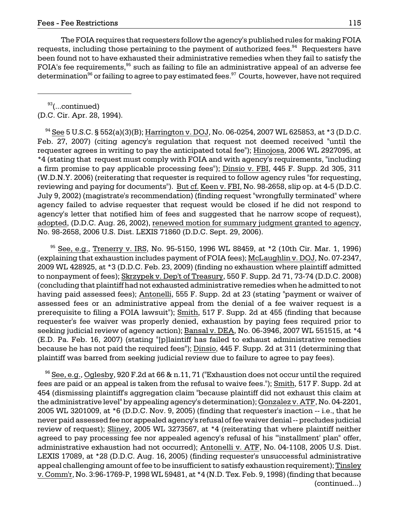The FOIA requires that requesters follow the agency's published rules for making FOIA requests, including those pertaining to the payment of authorized fees. $94$  Requesters have been found not to have exhausted their administrative remedies when they fail to satisfy the FOIA's fee requirements,<sup>95</sup> such as failing to file an administrative appeal of an adverse fee determination<sup>96</sup> or failing to agree to pay estimated fees.<sup>97</sup> Courts, however, have not required

 $93$ (...continued) (D.C. Cir. Apr. 28, 1994).

 $94$  See 5 U.S.C. § 552(a)(3)(B); Harrington v. DOJ, No. 06-0254, 2007 WL 625853, at \*3 (D.D.C. Feb. 27, 2007) (citing agency's regulation that request not deemed received "until the requester agrees in writing to pay the anticipated total fee"); Hinojosa, 2006 WL 2927095, at \*4 (stating that request must comply with FOIA and with agency's requirements, "including a firm promise to pay applicable processing fees"); Dinsio v. FBI, 445 F. Supp. 2d 305, 311 (W.D.N.Y. 2006) (reiterating that requester is required to follow agency rules "for requesting, reviewing and paying for documents"). But cf. Keen v. FBI, No. 98-2658, slip op. at 4-5 (D.D.C. July 9, 2002) (magistrate's recommendation) (finding request "wrongfully terminated" where agency failed to advise requester that request would be closed if he did not respond to agency's letter that notified him of fees and suggested that he narrow scope of request), adopted, (D.D.C. Aug. 26, 2002), renewed motion for summary judgment granted to agency, No. 98-2658, 2006 U.S. Dist. LEXIS 71860 (D.D.C. Sept. 29, 2006).

 $95$  See, e.g., Trenerry v. IRS, No. 95-5150, 1996 WL 88459, at  $*2$  (10th Cir. Mar. 1, 1996) (explaining that exhaustion includes payment of FOIA fees); McLaughlin v. DOJ, No. 07-2347, 2009 WL 428925, at \*3 (D.D.C. Feb. 23, 2009) (finding no exhaustion where plaintiff admitted to nonpayment of fees); Skrzypek v. Dep't of Treasury, 550 F. Supp. 2d 71, 73-74 (D.D.C. 2008) (concluding that plaintiff had not exhausted administrative remedies when he admitted to not having paid assessed fees); Antonelli, 555 F. Supp. 2d at 23 (stating "payment or waiver of assessed fees or an administrative appeal from the denial of a fee waiver request is a prerequisite to filing a FOIA lawsuit"); Smith, 517 F. Supp. 2d at 455 (finding that because requester's fee waiver was properly denied, exhaustion by paying fees required prior to seeking judicial review of agency action); Bansal v. DEA, No. 06-3946, 2007 WL 551515, at \*4 (E.D. Pa. Feb. 16, 2007) (stating "[p]laintiff has failed to exhaust administrative remedies because he has not paid the required fees"); Dinsio, 445 F. Supp. 2d at 311 (determining that plaintiff was barred from seeking judicial review due to failure to agree to pay fees).

 $96$  See, e.g., Oglesby, 920 F.2d at 66 & n.11, 71 ("Exhaustion does not occur until the required fees are paid or an appeal is taken from the refusal to waive fees."); Smith, 517 F. Supp. 2d at 454 (dismissing plaintiff's aggregation claim "because plaintiff did not exhaust this claim at the administrative level" by appealing agency's determination); Gonzalez v. ATF, No. 04-2201, 2005 WL 3201009, at \*6 (D.D.C. Nov. 9, 2005) (finding that requester's inaction -- i.e., that he never paid assessed fee nor appealed agency's refusal of fee waiver denial -- precludes judicial review of request); Sliney, 2005 WL 3273567, at \*4 (reiterating that where plaintiff neither agreed to pay processing fee nor appealed agency's refusal of his "'installment' plan" offer, administrative exhaustion had not occurred); Antonelli v. ATF, No. 04-1108, 2005 U.S. Dist. LEXIS 17089, at \*28 (D.D.C. Aug. 16, 2005) (finding requester's unsuccessful administrative appeal challenging amount of fee to be insufficient to satisfy exhaustion requirement); Tinsley v. Comm'r, No. 3:96-1769-P, 1998 WL 59481, at \*4 (N.D. Tex. Feb. 9, 1998) (finding that because (continued...)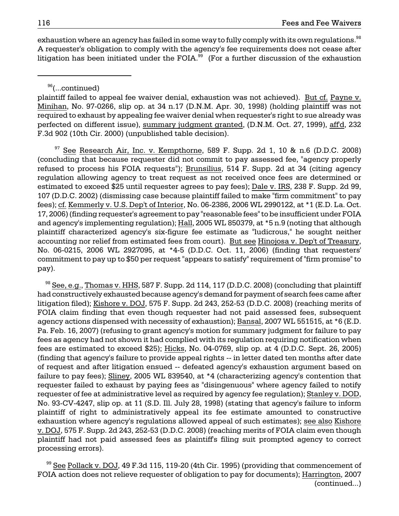exhaustion where an agency has failed in some way to fully comply with its own regulations.  $98$ A requester's obligation to comply with the agency's fee requirements does not cease after litigation has been initiated under the FOIA. $99$  (For a further discussion of the exhaustion

<sup>96</sup>(...continued)

plaintiff failed to appeal fee waiver denial, exhaustion was not achieved). But cf. Payne v. Minihan, No. 97-0266, slip op. at 34 n.17 (D.N.M. Apr. 30, 1998) (holding plaintiff was not required to exhaust by appealing fee waiver denial when requester's right to sue already was perfected on different issue), summary judgment granted, (D.N.M. Oct. 27, 1999), aff'd, 232 F.3d 902 (10th Cir. 2000) (unpublished table decision).

 $97$  See Research Air, Inc. v. Kempthorne, 589 F. Supp. 2d 1, 10 & n.6 (D.D.C. 2008) (concluding that because requester did not commit to pay assessed fee, "agency properly refused to process his FOIA requests"); Brunsilius, 514 F. Supp. 2d at 34 (citing agency regulation allowing agency to treat request as not received once fees are determined or estimated to exceed \$25 until requester agrees to pay fees); Dale v. IRS, 238 F. Supp. 2d 99, 107 (D.D.C. 2002) (dismissing case because plaintiff failed to make "firm commitment" to pay fees); cf. Kemmerly v. U.S. Dep't of Interior, No. 06-2386, 2006 WL 2990122, at \*1 (E.D. La. Oct. 17, 2006) (finding requester's agreement to pay "reasonable fees" to be insufficient under FOIA and agency's implementing regulation); Hall, 2005 WL 850379, at \*5 n.9 (noting that although plaintiff characterized agency's six-figure fee estimate as "ludicrous," he sought neither accounting nor relief from estimated fees from court). But see Hinojosa v. Dep't of Treasury, No. 06-0215, 2006 WL 2927095, at \*4-5 (D.D.C. Oct. 11, 2006) (finding that requesters' commitment to pay up to \$50 per request "appears to satisfy" requirement of "firm promise" to pay).

 $98$  See, e.g., Thomas v. HHS, 587 F. Supp. 2d 114, 117 (D.D.C. 2008) (concluding that plaintiff had constructively exhausted because agency's demand for payment of search fees came after litigation filed); Kishore v. DOJ, 575 F. Supp. 2d 243, 252-53 (D.D.C. 2008) (reaching merits of FOIA claim finding that even though requester had not paid assessed fees, subsequent agency actions dispensed with necessity of exhaustion); Bansal, 2007 WL 551515, at \*6 (E.D. Pa. Feb. 16, 2007) (refusing to grant agency's motion for summary judgment for failure to pay fees as agency had not shown it had complied with its regulation requiring notification when fees are estimated to exceed \$25); Hicks, No. 04-0769, slip op. at 4 (D.D.C. Sept. 26, 2005) (finding that agency's failure to provide appeal rights -- in letter dated ten months after date of request and after litigation ensued -- defeated agency's exhaustion argument based on failure to pay fees); Sliney, 2005 WL 839540, at \*4 (characterizing agency's contention that requester failed to exhaust by paying fees as "disingenuous" where agency failed to notify requester of fee at administrative level as required by agency fee regulation); Stanley v. DOD, No. 93-CV-4247, slip op. at 11 (S.D. Ill. July 28, 1998) (stating that agency's failure to inform plaintiff of right to administratively appeal its fee estimate amounted to constructive exhaustion where agency's regulations allowed appeal of such estimates); see also Kishore v. DOJ, 575 F. Supp. 2d 243, 252-53 (D.D.C. 2008) (reaching merits of FOIA claim even though plaintiff had not paid assessed fees as plaintiff's filing suit prompted agency to correct processing errors).

 $^{99}$  See Pollack v. DOJ, 49 F.3d 115, 119-20 (4th Cir. 1995) (providing that commencement of FOIA action does not relieve requester of obligation to pay for documents); Harrington, 2007 (continued...)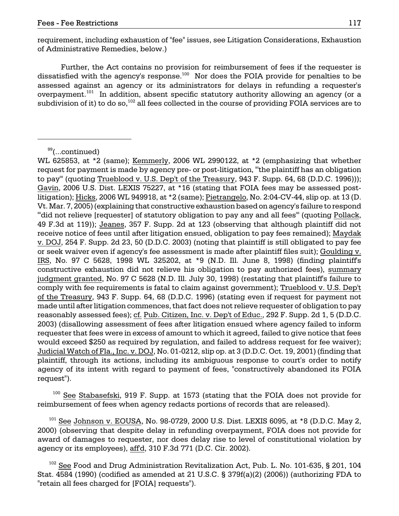requirement, including exhaustion of "fee" issues, see Litigation Considerations, Exhaustion of Administrative Remedies, below.)

Further, the Act contains no provision for reimbursement of fees if the requester is dissatisfied with the agency's response.100 Nor does the FOIA provide for penalties to be assessed against an agency or its administrators for delays in refunding a requester's overpayment.<sup>101</sup> In addition, absent specific statutory authority allowing an agency (or a subdivision of it) to do so, $^{102}$  all fees collected in the course of providing FOIA services are to

WL 625853, at \*2 (same); Kemmerly, 2006 WL 2990122, at \*2 (emphasizing that whether request for payment is made by agency pre- or post-litigation, "'the plaintiff has an obligation to pay'" (quoting Trueblood v. U.S. Dep't of the Treasury, 943 F. Supp. 64, 68 (D.D.C. 1996))); Gavin, 2006 U.S. Dist. LEXIS 75227, at \*16 (stating that FOIA fees may be assessed postlitigation); Hicks, 2006 WL 949918, at \*2 (same); Pietrangelo, No. 2:04-CV-44, slip op. at 13 (D. Vt. Mar. 7, 2005) (explaining that constructive exhaustion based on agency's failure to respond "did not relieve [requester] of statutory obligation to pay any and all fees" (quoting Pollack, 49 F.3d at 119)); Jeanes, 357 F. Supp. 2d at 123 (observing that although plaintiff did not receive notice of fees until after litigation ensued, obligation to pay fees remained); Maydak v. DOJ, 254 F. Supp. 2d 23, 50 (D.D.C. 2003) (noting that plaintiff is still obligated to pay fee or seek waiver even if agency's fee assessment is made after plaintiff files suit); Goulding v. IRS, No. 97 C 5628, 1998 WL 325202, at \*9 (N.D. Ill. June 8, 1998) (finding plaintiff's constructive exhaustion did not relieve his obligation to pay authorized fees), summary judgment granted, No. 97 C 5628 (N.D. Ill. July 30, 1998) (restating that plaintiff's failure to comply with fee requirements is fatal to claim against government); Trueblood v. U.S. Dep't of the Treasury, 943 F. Supp. 64, 68 (D.D.C. 1996) (stating even if request for payment not made until after litigation commences, that fact does not relieve requester of obligation to pay reasonably assessed fees); cf. Pub. Citizen, Inc. v. Dep't of Educ., 292 F. Supp. 2d 1, 5 (D.D.C. 2003) (disallowing assessment of fees after litigation ensued where agency failed to inform requester that fees were in excess of amount to which it agreed, failed to give notice that fees would exceed \$250 as required by regulation, and failed to address request for fee waiver); Judicial Watch of Fla., Inc. v. DOJ, No. 01-0212, slip op. at 3 (D.D.C. Oct. 19, 2001) (finding that plaintiff, through its actions, including its ambiguous response to court's order to notify agency of its intent with regard to payment of fees, "constructively abandoned its FOIA request").

 $100$  See Stabasefski, 919 F. Supp. at 1573 (stating that the FOIA does not provide for reimbursement of fees when agency redacts portions of records that are released).

 $101$  See Johnson v. EOUSA, No. 98-0729, 2000 U.S. Dist. LEXIS 6095, at \*8 (D.D.C. May 2, 2000) (observing that despite delay in refunding overpayment, FOIA does not provide for award of damages to requester, nor does delay rise to level of constitutional violation by agency or its employees), aff'd, 310 F.3d 771 (D.C. Cir. 2002).

 $102$  See Food and Drug Administration Revitalization Act, Pub. L. No. 101-635, § 201, 104 Stat. 4584 (1990) (codified as amended at 21 U.S.C. § 379f(a)(2) (2006)) (authorizing FDA to "retain all fees charged for [FOIA] requests").

<sup>&</sup>lt;sup>99</sup>(...continued)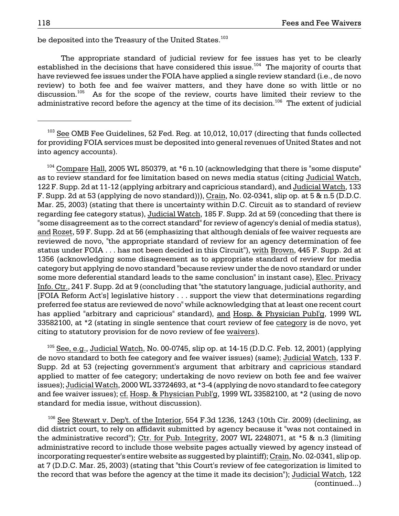be deposited into the Treasury of the United States.<sup>103</sup>

The appropriate standard of judicial review for fee issues has yet to be clearly established in the decisions that have considered this issue.<sup>104</sup> The majority of courts that have reviewed fee issues under the FOIA have applied a single review standard (i.e., de novo review) to both fee and fee waiver matters, and they have done so with little or no discussion.<sup>105</sup> As for the scope of the review, courts have limited their review to the administrative record before the agency at the time of its decision.<sup>106</sup> The extent of judicial

<sup>103</sup> See OMB Fee Guidelines, 52 Fed. Reg. at 10,012, 10,017 (directing that funds collected for providing FOIA services must be deposited into general revenues of United States and not into agency accounts).

 $104$  Compare Hall, 2005 WL 850379, at  $*6$  n.10 (acknowledging that there is "some dispute" as to review standard for fee limitation based on news media status (citing Judicial Watch, 122 F. Supp. 2d at 11-12 (applying arbitrary and capricious standard), and Judicial Watch, 133 F. Supp. 2d at 53 (applying de novo standard))), Crain, No. 02-0341, slip op. at 5 & n.5 (D.D.C. Mar. 25, 2003) (stating that there is uncertainty within D.C. Circuit as to standard of review regarding fee category status), Judicial Watch, 185 F. Supp. 2d at 59 (conceding that there is "some disagreement as to the correct standard" for review of agency's denial of media status), and Rozet, 59 F. Supp. 2d at 56 (emphasizing that although denials of fee waiver requests are reviewed de novo, "the appropriate standard of review for an agency determination of fee status under FOIA . . . has not been decided in this Circuit"), with Brown, 445 F. Supp. 2d at 1356 (acknowledging some disagreement as to appropriate standard of review for media category but applying de novo standard "because review under the de novo standard or under some more deferential standard leads to the same conclusion" in instant case), Elec. Privacy Info. Ctr., 241 F. Supp. 2d at 9 (concluding that "the statutory language, judicial authority, and [FOIA Reform Act's] legislative history . . . support the view that determinations regarding preferred fee status are reviewed de novo" while acknowledging that at least one recent court has applied "arbitrary and capricious" standard), and Hosp. & Physician Publ'g, 1999 WL 33582100, at \*2 (stating in single sentence that court review of fee category is de novo, yet citing to statutory provision for de novo review of fee waivers).

 $105$  See, e.g., Judicial Watch, No. 00-0745, slip op. at 14-15 (D.D.C. Feb. 12, 2001) (applying de novo standard to both fee category and fee waiver issues) (same); Judicial Watch, 133 F. Supp. 2d at 53 (rejecting government's argument that arbitrary and capricious standard applied to matter of fee category; undertaking de novo review on both fee and fee waiver issues); Judicial Watch, 2000 WL 33724693, at \*3-4 (applying de novo standard to fee category and fee waiver issues); cf. Hosp. & Physician Publ'g, 1999 WL 33582100, at \*2 (using de novo standard for media issue, without discussion).

 $106$  See Stewart v. Dep't. of the Interior, 554 F.3d 1236, 1243 (10th Cir. 2009) (declining, as did district court, to rely on affidavit submitted by agency because it "was not contained in the administrative record"); Ctr. for Pub. Integrity, 2007 WL 2248071, at \*5 & n.3 (limiting administrative record to include those website pages actually viewed by agency instead of incorporating requester's entire website as suggested by plaintiff); Crain, No. 02-0341, slip op. at 7 (D.D.C. Mar. 25, 2003) (stating that "this Court's review of fee categorization is limited to the record that was before the agency at the time it made its decision"); Judicial Watch, 122 (continued...)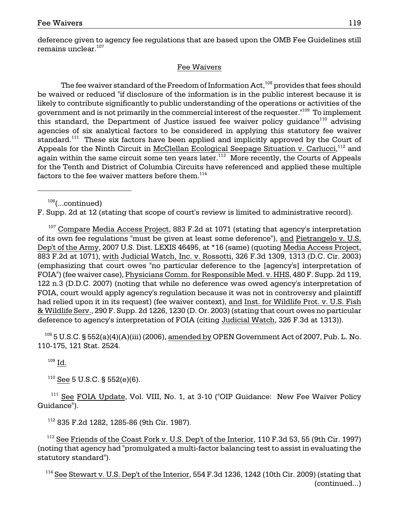deference given to agency fee regulations that are based upon the OMB Fee Guidelines still remains unclear. $107$ 

# Fee Waivers

The fee waiver standard of the Freedom of Information Act,<sup>108</sup> provides that fees should be waived or reduced "if disclosure of the information is in the public interest because it is likely to contribute significantly to public understanding of the operations or activities of the government and is not primarily in the commercial interest of the requester."<sup>109</sup> To implement this standard, the Department of Justice issued fee waiver policy guidance<sup>110</sup> advising agencies of six analytical factors to be considered in applying this statutory fee waiver standard.<sup>111</sup> These six factors have been applied and implicitly approved by the Court of Appeals for the Ninth Circuit in McClellan Ecological Seepage Situation v. Carlucci,<sup>112</sup> and again within the same circuit some ten years later.<sup>113</sup> More recently, the Courts of Appeals for the Tenth and District of Columbia Circuits have referenced and applied these multiple factors to the fee waiver matters before them. $^{114}$ 

 $106$ (...continued)

F. Supp. 2d at 12 (stating that scope of court's review is limited to administrative record).

 $107$  Compare Media Access Project, 883 F.2d at 1071 (stating that agency's interpretation of its own fee regulations "must be given at least some deference"), and Pietrangelo v. U.S. Dep't of the Army, 2007 U.S. Dist. LEXIS 46495, at \*16 (same) (quoting Media Access Project, 883 F.2d at 1071), with Judicial Watch, Inc. v. Rossotti, 326 F.3d 1309, 1313 (D.C. Cir. 2003) (emphasizing that court owes "no particular deference to the [agency's] interpretation of FOIA") (fee waiver case), Physicians Comm. for Responsible Med. v. HHS, 480 F. Supp. 2d 119, 122 n.3 (D.D.C. 2007) (noting that while no deference was owed agency's interpretation of FOIA, court would apply agency's regulation because it was not in controversy and plaintiff had relied upon it in its request) (fee waiver context), and Inst. for Wildlife Prot. v. U.S. Fish & Wildlife Serv., 290 F. Supp. 2d 1226, 1230 (D. Or. 2003) (stating that court owes no particular deference to agency's interpretation of FOIA (citing Judicial Watch, 326 F.3d at 1313)).

 $108$  5 U.S.C. § 552(a)(4)(A)(iii) (2006), amended by OPEN Government Act of 2007, Pub. L. No. 110-175, 121 Stat. 2524.

 $109$  Id.

 $110$  See 5 U.S.C. § 552(e)(6).

<sup>111</sup> See FOIA Update, Vol. VIII, No. 1, at 3-10 ("OIP Guidance: New Fee Waiver Policy Guidance").

112 835 F.2d 1282, 1285-86 (9th Cir. 1987).

 $113$  See Friends of the Coast Fork v. U.S. Dep't of the Interior, 110 F.3d 53, 55 (9th Cir. 1997) (noting that agency had "promulgated a multi-factor balancing test to assist in evaluating the statutory standard").

 $114$  See Stewart v. U.S. Dep't of the Interior, 554 F.3d 1236, 1242 (10th Cir. 2009) (stating that (continued...)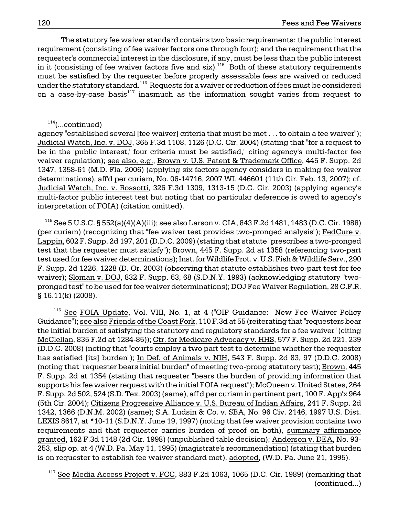The statutory fee waiver standard contains two basic requirements: the public interest requirement (consisting of fee waiver factors one through four); and the requirement that the requester's commercial interest in the disclosure, if any, must be less than the public interest in it (consisting of fee waiver factors five and  $\text{six}$ ).<sup>115</sup> Both of these statutory requirements must be satisfied by the requester before properly assessable fees are waived or reduced under the statutory standard.<sup>116</sup> Requests for a waiver or reduction of fees must be considered on a case-by-case basis<sup>117</sup> inasmuch as the information sought varies from request to

agency "established several [fee waiver] criteria that must be met . . . to obtain a fee waiver"); Judicial Watch, Inc. v. DOJ, 365 F.3d 1108, 1126 (D.C. Cir. 2004) (stating that "for a request to be in the 'public interest,' four criteria must be satisfied," citing agency's multi-factor fee waiver regulation); see also, e.g., Brown v. U.S. Patent & Trademark Office, 445 F. Supp. 2d 1347, 1358-61 (M.D. Fla. 2006) (applying six factors agency considers in making fee waiver determinations), aff'd per curiam, No. 06-14716, 2007 WL 446601 (11th Cir. Feb. 13, 2007); cf. Judicial Watch, Inc. v. Rossotti, 326 F.3d 1309, 1313-15 (D.C. Cir. 2003) (applying agency's multi-factor public interest test but noting that no particular deference is owed to agency's interpretation of FOIA) (citation omitted).

 115 See 5 U.S.C. § 552(a)(4)(A)(iii); see also Larson v. CIA, 843 F.2d 1481, 1483 (D.C. Cir. 1988) (per curiam) (recognizing that "fee waiver test provides two-pronged analysis"); FedCure v. Lappin, 602 F. Supp. 2d 197, 201 (D.D.C. 2009) (stating that statute "prescribes a two-pronged test that the requester must satisfy"); Brown, 445 F. Supp. 2d at 1358 (referencing two-part test used for fee waiver determinations); Inst. for Wildlife Prot. v. U.S. Fish & Wildlife Serv., 290 F. Supp. 2d 1226, 1228 (D. Or. 2003) (observing that statute establishes two-part test for fee waiver); Sloman v. DOJ, 832 F. Supp. 63, 68 (S.D.N.Y. 1993) (acknowledging statutory "twopronged test" to be used for fee waiver determinations); DOJ Fee Waiver Regulation, 28 C.F.R. § 16.11(k) (2008).

<sup>116</sup> See FOIA Update, Vol. VIII, No. 1, at 4 ("OIP Guidance: New Fee Waiver Policy Guidance"); see also Friends of the Coast Fork, 110 F.3d at 55 (reiterating that "requesters bear the initial burden of satisfying the statutory and regulatory standards for a fee waiver" (citing McClellan, 835 F.2d at 1284-85)); Ctr. for Medicare Advocacy v. HHS, 577 F. Supp. 2d 221, 239 (D.D.C. 2008) (noting that "courts employ a two part test to determine whether the requester has satisfied [its] burden"); In Def. of Animals v. NIH, 543 F. Supp. 2d 83, 97 (D.D.C. 2008) (noting that "requester bears initial burden" of meeting two-prong statutory test); Brown, 445 F. Supp. 2d at 1354 (stating that requester "bears the burden of providing information that supports his fee waiver request with the initial FOIA request"); McQueen v. United States, 264 F. Supp. 2d 502, 524 (S.D. Tex. 2003) (same), aff'd per curiam in pertinent part, 100 F. App'x 964 (5th Cir. 2004); Citizens Progressive Alliance v. U.S. Bureau of Indian Affairs, 241 F. Supp. 2d 1342, 1366 (D.N.M. 2002) (same); S.A. Ludsin & Co. v. SBA, No. 96 Civ. 2146, 1997 U.S. Dist. LEXIS 8617, at \*10-11 (S.D.N.Y. June 19, 1997) (noting that fee waiver provision contains two requirements and that requester carries burden of proof on both), summary affirmance granted, 162 F.3d 1148 (2d Cir. 1998) (unpublished table decision); Anderson v. DEA, No. 93 253, slip op. at 4 (W.D. Pa. May 11, 1995) (magistrate's recommendation) (stating that burden is on requester to establish fee waiver standard met), adopted, (W.D. Pa. June 21, 1995).

 $117$  See Media Access Project v. FCC, 883 F.2d 1063, 1065 (D.C. Cir. 1989) (remarking that (continued...)

 $114$ (...continued)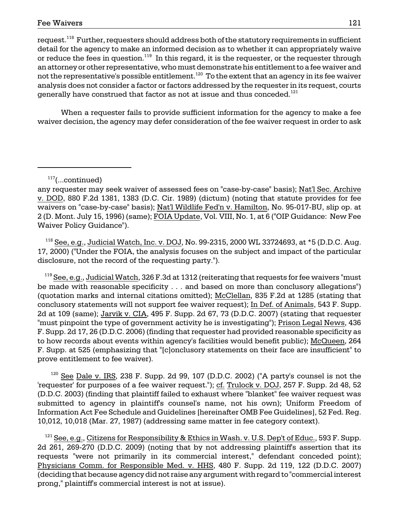request.<sup>118</sup> Further, requesters should address both of the statutory requirements in sufficient detail for the agency to make an informed decision as to whether it can appropriately waive or reduce the fees in question.<sup>119</sup> In this regard, it is the requester, or the requester through an attorney or other representative, who must demonstrate his entitlement to a fee waiver and not the representative's possible entitlement.<sup>120</sup> To the extent that an agency in its fee waiver analysis does not consider a factor or factors addressed by the requester in its request, courts generally have construed that factor as not at issue and thus conceded.<sup>121</sup>

When a requester fails to provide sufficient information for the agency to make a fee waiver decision, the agency may defer consideration of the fee waiver request in order to ask

 $117$ (...continued)

 $118$  See, e.g., Judicial Watch, Inc. v. DOJ, No. 99-2315, 2000 WL 33724693, at  $*5$  (D.D.C. Aug. 17, 2000) ("Under the FOIA, the analysis focuses on the subject and impact of the particular disclosure, not the record of the requesting party.").

 $119$  See, e.g., Judicial Watch, 326 F.3d at 1312 (reiterating that requests for fee waivers "must" be made with reasonable specificity . . . and based on more than conclusory allegations") (quotation marks and internal citations omitted); McClellan, 835 F.2d at 1285 (stating that conclusory statements will not support fee waiver request); In Def. of Animals, 543 F. Supp. 2d at 109 (same); Jarvik v. CIA, 495 F. Supp. 2d 67, 73 (D.D.C. 2007) (stating that requester "must pinpoint the type of government activity he is investigating"); Prison Legal News, 436 F. Supp. 2d 17, 26 (D.D.C. 2006) (finding that requester had provided reasonable specificity as to how records about events within agency's facilities would benefit public); McQueen, 264 F. Supp. at 525 (emphasizing that "[c]onclusory statements on their face are insufficient" to prove entitlement to fee waiver).

 $120$  See Dale v. IRS, 238 F. Supp. 2d 99, 107 (D.D.C. 2002) ("A party's counsel is not the 'requester' for purposes of a fee waiver request."); cf. Trulock v. DOJ, 257 F. Supp. 2d 48, 52 (D.D.C. 2003) (finding that plaintiff failed to exhaust where "blanket" fee waiver request was submitted to agency in plaintiff's counsel's name, not his own); Uniform Freedom of Information Act Fee Schedule and Guidelines [hereinafter OMB Fee Guidelines], 52 Fed. Reg. 10,012, 10,018 (Mar. 27, 1987) (addressing same matter in fee category context).

<sup>121</sup> See, e.g., Citizens for Responsibility & Ethics in Wash. v. U.S. Dep't of Educ., 593 F. Supp. 2d 261, 269-270 (D.D.C. 2009) (noting that by not addressing plaintiff's assertion that its requests "were not primarily in its commercial interest," defendant conceded point); Physicians Comm. for Responsible Med. v. HHS, 480 F. Supp. 2d 119, 122 (D.D.C. 2007) (deciding that because agency did not raise any argument with regard to "commercial interest prong," plaintiff's commercial interest is not at issue).

any requester may seek waiver of assessed fees on "case-by-case" basis); Nat'l Sec. Archive v. DOD, 880 F.2d 1381, 1383 (D.C. Cir. 1989) (dictum) (noting that statute provides for fee waivers on "case-by-case" basis); Nat'l Wildlife Fed'n v. Hamilton, No. 95-017-BU, slip op. at 2 (D. Mont. July 15, 1996) (same); FOIA Update, Vol. VIII, No. 1, at 6 ("OIP Guidance: New Fee Waiver Policy Guidance").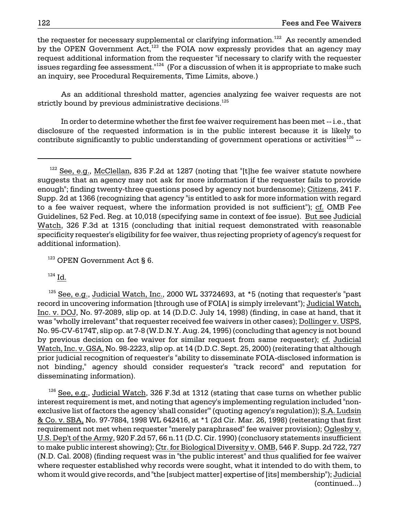the requester for necessary supplemental or clarifying information.<sup>122</sup> As recently amended by the OPEN Government Act, $123$  the FOIA now expressly provides that an agency may request additional information from the requester "if necessary to clarify with the requester issues regarding fee assessment."<sup>124</sup> (For a discussion of when it is appropriate to make such an inquiry, see Procedural Requirements, Time Limits, above.)

As an additional threshold matter, agencies analyzing fee waiver requests are not strictly bound by previous administrative decisions. $125$ 

In order to determine whether the first fee waiver requirement has been met -- i.e., that disclosure of the requested information is in the public interest because it is likely to contribute significantly to public understanding of government operations or activities<sup>126</sup> --

<sup>123</sup> OPEN Government Act § 6.

 $124 \underline{Id.}$ 

 $125$  See, e.g., Judicial Watch, Inc., 2000 WL 33724693, at  $*5$  (noting that requester's "past record in uncovering information [through use of FOIA] is simply irrelevant"); Judicial Watch, Inc. v. DOJ, No. 97-2089, slip op. at 14 (D.D.C. July 14, 1998) (finding, in case at hand, that it was "wholly irrelevant" that requester received fee waivers in other cases); Dollinger v. USPS, No. 95-CV-6174T, slip op. at 7-8 (W.D.N.Y. Aug. 24, 1995) (concluding that agency is not bound by previous decision on fee waiver for similar request from same requester); cf. Judicial Watch, Inc. v. GSA, No. 98-2223, slip op. at 14 (D.D.C. Sept. 25, 2000) (reiterating that although prior judicial recognition of requester's "ability to disseminate FOIA-disclosed information is not binding," agency should consider requester's "track record" and reputation for disseminating information).

 $126$  See, e.g., Judicial Watch, 326 F.3d at 1312 (stating that case turns on whether public interest requirement is met, and noting that agency's implementing regulation included "nonexclusive list of factors the agency 'shall consider'" (quoting agency's regulation)); S.A. Ludsin & Co. v. SBA, No. 97-7884, 1998 WL 642416, at \*1 (2d Cir. Mar. 26, 1998) (reiterating that first requirement not met when requester "merely paraphrased" fee waiver provision); Oglesby v. U.S. Dep't of the Army, 920 F.2d 57, 66 n.11 (D.C. Cir. 1990) (conclusory statements insufficient to make public interest showing); Ctr. for Biological Diversity v. OMB, 546 F. Supp. 2d 722, 727 (N.D. Cal. 2008) (finding request was in "the public interest" and thus qualified for fee waiver where requester established why records were sought, what it intended to do with them, to whom it would give records, and "the [subject matter] expertise of [its] membership"); Judicial (continued...)

 $122$  See, e.g., McClellan, 835 F.2d at 1287 (noting that "[t]he fee waiver statute nowhere suggests that an agency may not ask for more information if the requester fails to provide enough"; finding twenty-three questions posed by agency not burdensome); Citizens, 241 F. Supp. 2d at 1366 (recognizing that agency "is entitled to ask for more information with regard to a fee waiver request, where the information provided is not sufficient"); cf. OMB Fee Guidelines, 52 Fed. Reg. at 10,018 (specifying same in context of fee issue). But see Judicial Watch, 326 F.3d at 1315 (concluding that initial request demonstrated with reasonable specificity requester's eligibility for fee waiver, thus rejecting propriety of agency's request for additional information).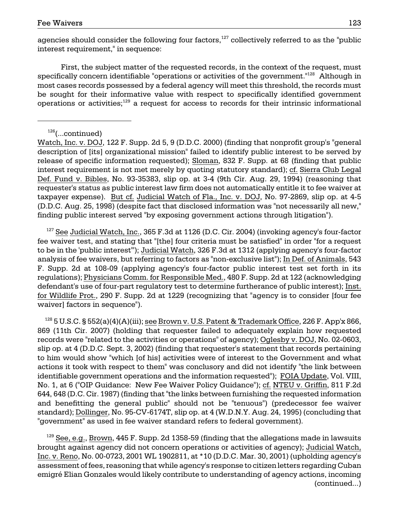agencies should consider the following four factors, $127$  collectively referred to as the "public interest requirement," in sequence:

First, the subject matter of the requested records, in the context of the request, must specifically concern identifiable "operations or activities of the government."128 Although in most cases records possessed by a federal agency will meet this threshold, the records must be sought for their informative value with respect to specifically identified government operations or activities; $129$  a request for access to records for their intrinsic informational

Watch, Inc. v. DOJ, 122 F. Supp. 2d 5, 9 (D.D.C. 2000) (finding that nonprofit group's "general description of [its] organizational mission" failed to identify public interest to be served by release of specific information requested); Sloman, 832 F. Supp. at 68 (finding that public interest requirement is not met merely by quoting statutory standard); cf. Sierra Club Legal Def. Fund v. Bibles, No. 93-35383, slip op. at 3-4 (9th Cir. Aug. 29, 1994) (reasoning that requester's status as public interest law firm does not automatically entitle it to fee waiver at taxpayer expense). But cf. Judicial Watch of Fla., Inc. v. DOJ, No. 97-2869, slip op. at 4-5 (D.D.C. Aug. 25, 1998) (despite fact that disclosed information was "not necessarily all new," finding public interest served "by exposing government actions through litigation").

 $127$  See Judicial Watch, Inc., 365 F.3d at 1126 (D.C. Cir. 2004) (invoking agency's four-factor fee waiver test, and stating that "[the] four criteria must be satisfied" in order "for a request to be in the 'public interest'"); Judicial Watch, 326 F.3d at 1312 (applying agency's four-factor analysis of fee waivers, but referring to factors as "non-exclusive list"); In Def. of Animals, 543 F. Supp. 2d at 108-09 (applying agency's four-factor public interest test set forth in its regulations); Physicians Comm. for Responsible Med., 480 F. Supp. 2d at 122 (acknowledging defendant's use of four-part regulatory test to determine furtherance of public interest); Inst. for Wildlife Prot., 290 F. Supp. 2d at 1229 (recognizing that "agency is to consider [four fee waiver] factors in sequence").

<sup>128</sup> 5 U.S.C. § 552(a)(4)(A)(iii); see Brow<u>n v. U.S. Patent & Trademark Office</u>, 226 F. App'x 866, 869 (11th Cir. 2007) (holding that requester failed to adequately explain how requested records were "related to the activities or operations" of agency); Oglesby v. DOJ, No. 02-0603, slip op. at 4 (D.D.C. Sept. 3, 2002) (finding that requester's statement that records pertaining to him would show "which [of his] activities were of interest to the Government and what actions it took with respect to them" was conclusory and did not identify "the link between identifiable government operations and the information requested"); FOIA Update, Vol. VIII, No. 1, at 6 ("OIP Guidance: New Fee Waiver Policy Guidance"); cf. NTEU v. Griffin, 811 F.2d 644, 648 (D.C. Cir. 1987) (finding that "the links between furnishing the requested information and benefitting the general public" should not be "tenuous") (predecessor fee waiver standard); Dollinger, No. 95-CV-6174T, slip op. at 4 (W.D.N.Y. Aug. 24, 1995) (concluding that "government" as used in fee waiver standard refers to federal government).

 $129$  See, e.g., Brown, 445 F. Supp. 2d 1358-59 (finding that the allegations made in lawsuits brought against agency did not concern operations or activities of agency); Judicial Watch, Inc. v. Reno, No. 00-0723, 2001 WL 1902811, at \*10 (D.D.C. Mar. 30, 2001) (upholding agency's assessment of fees, reasoning that while agency's response to citizen letters regarding Cuban emigré Elian Gonzales would likely contribute to understanding of agency actions, incoming (continued...)

 $126$ (...continued)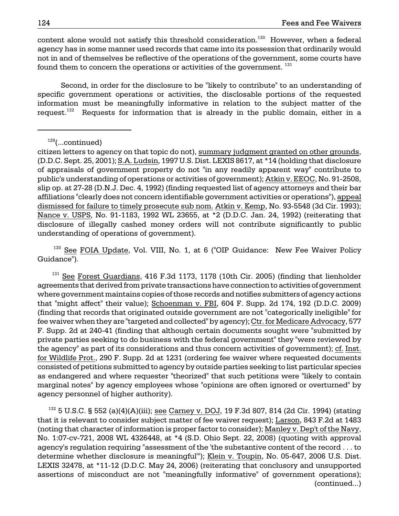content alone would not satisfy this threshold consideration.<sup>130</sup> However, when a federal agency has in some manner used records that came into its possession that ordinarily would not in and of themselves be reflective of the operations of the government, some courts have found them to concern the operations or activities of the government.<sup>131</sup>

Second, in order for the disclosure to be "likely to contribute" to an understanding of specific government operations or activities, the disclosable portions of the requested information must be meaningfully informative in relation to the subject matter of the request.<sup>132</sup> Requests for information that is already in the public domain, either in a

 $129$ (...continued)

citizen letters to agency on that topic do not), summary judgment granted on other grounds, (D.D.C. Sept. 25, 2001); S.A. Ludsin, 1997 U.S. Dist. LEXIS 8617, at \*14 (holding that disclosure of appraisals of government property do not "in any readily apparent way" contribute to public's understanding of operations or activities of government); Atkin v. EEOC, No. 91-2508, slip op. at 27-28 (D.N.J. Dec. 4, 1992) (finding requested list of agency attorneys and their bar affiliations "clearly does not concern identifiable government activities or operations"), appeal dismissed for failure to timely prosecute sub nom. Atkin v. Kemp, No. 93-5548 (3d Cir. 1993); Nance v. USPS, No. 91-1183, 1992 WL 23655, at \*2 (D.D.C. Jan. 24, 1992) (reiterating that disclosure of illegally cashed money orders will not contribute significantly to public understanding of operations of government).

<sup>130</sup> See FOIA Update, Vol. VIII, No. 1, at 6 ("OIP Guidance: New Fee Waiver Policy Guidance").

<sup>131</sup> See Forest Guardians, 416 F.3d 1173, 1178 (10th Cir. 2005) (finding that lienholder agreements that derived from private transactions have connection to activities of government where government maintains copies of those records and notifies submitters of agency actions that "might affect" their value); Schoenman v. FBI, 604 F. Supp. 2d 174, 192 (D.D.C. 2009) (finding that records that originated outside government are not "categorically ineligible" for fee waiver when they are "targeted and collected" by agency); Ctr. for Medicare Advocacy, 577 F. Supp. 2d at 240-41 (finding that although certain documents sought were "submitted by private parties seeking to do business with the federal government" they "were reviewed by the agency" as part of its considerations and thus concern activities of government); cf. Inst. for Wildlife Prot., 290 F. Supp. 2d at 1231 (ordering fee waiver where requested documents consisted of petitions submitted to agency by outside parties seeking to list particular species as endangered and where requester "theorized" that such petitions were "likely to contain marginal notes" by agency employees whose "opinions are often ignored or overturned" by agency personnel of higher authority).

 $132$  5 U.S.C. § 552 (a)(4)(A)(iii); see Carney v. DOJ, 19 F.3d 807, 814 (2d Cir. 1994) (stating that it is relevant to consider subject matter of fee waiver request); Larson, 843 F.2d at 1483 (noting that character of information is proper factor to consider); Manley v. Dep't of the Navy, No. 1:07-cv-721, 2008 WL 4326448, at \*4 (S.D. Ohio Sept. 22, 2008) (quoting with approval agency's regulation requiring "assessment of the 'the substantive content of the record . . . to determine whether disclosure is meaningful'"); Klein v. Toupin, No. 05-647, 2006 U.S. Dist. LEXIS 32478, at \*11-12 (D.D.C. May 24, 2006) (reiterating that conclusory and unsupported assertions of misconduct are not "meaningfully informative" of government operations); (continued...)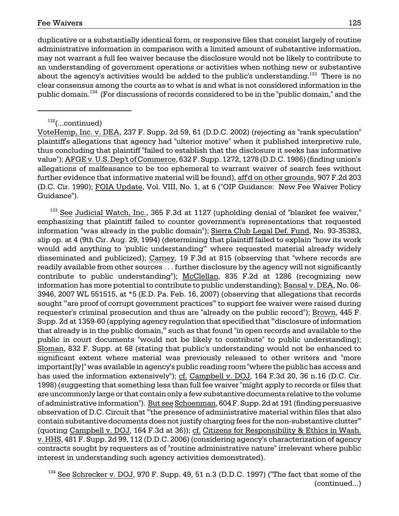duplicative or a substantially identical form, or responsive files that consist largely of routine administrative information in comparison with a limited amount of substantive information, may not warrant a full fee waiver because the disclosure would not be likely to contribute to an understanding of government operations or activities when nothing new or substantive about the agency's activities would be added to the public's understanding.<sup>133</sup> There is no clear consensus among the courts as to what is and what is not considered information in the public domain.134 (For discussions of records considered to be in the "public domain," and the

# $132$ (...continued)

VoteHemp, Inc. v. DEA, 237 F. Supp. 2d 59, 61 (D.D.C. 2002) (rejecting as "rank speculation" plaintiff's allegations that agency had "ulterior motive" when it published interpretive rule, thus concluding that plaintiff "failed to establish that the disclosure it seeks has informative value"); AFGE v. U.S. Dep't of Commerce, 632 F. Supp. 1272, 1278 (D.D.C. 1986) (finding union's allegations of malfeasance to be too ephemeral to warrant waiver of search fees without further evidence that informative material will be found), aff'd on other grounds, 907 F.2d 203 (D.C. Cir. 1990); FOIA Update, Vol. VIII, No. 1, at 6 ("OIP Guidance: New Fee Waiver Policy Guidance").

 $133$  See Judicial Watch, Inc., 365 F.3d at 1127 (upholding denial of "blanket fee waiver," emphasizing that plaintiff failed to counter government's representations that requested information "was already in the public domain"); Sierra Club Legal Def. Fund, No. 93-35383, slip op. at 4 (9th Cir. Aug. 29, 1994) (determining that plaintiff failed to explain "how its work would add anything to 'public understanding'" where requested material already widely disseminated and publicized); Carney, 19 F.3d at 815 (observing that "where records are readily available from other sources . . . further disclosure by the agency will not significantly contribute to public understanding"); McClellan, 835 F.2d at 1286 (recognizing new information has more potential to contribute to public understanding); Bansal v. DEA, No. 06 3946, 2007 WL 551515, at \*5 (E.D. Pa. Feb. 16, 2007) (observing that allegations that records sought '"are proof of corrupt government practices'" to support fee waiver were raised during requester's criminal prosecution and thus are "already on the public record"); Brown, 445 F. Supp. 2d at 1359-60 (applying agency regulation that specified that "'disclosure of information that already is in the public domain,'" such as that found "in open records and available to the public in court documents "would not be likely to contribute" to public understanding); Sloman, 832 F. Supp. at 68 (stating that public's understanding would not be enhanced to significant extent where material was previously released to other writers and "more important[ly]" was available in agency's public reading room "where the public has access and has used the information extensively"); cf. Campbell v. DOJ, 164 F.3d 20, 36 n.16 (D.C. Cir. 1998) (suggesting that something less than full fee waiver "might apply to records or files that are uncommonly large or that contain only a few substantive documents relative to the volume of administrative information"). But see Schoenman, 604 F. Supp. 2d at 191 (finding persuasive observation of D.C. Circuit that "'the presence of administrative material within files that also contain substantive documents does not justify charging fees for the non-substantive clutter'" (quoting Campbell v. DOJ, 164 F.3d at 36)); cf. Citizens for Responsibility & Ethics in Wash. v. HHS, 481 F. Supp. 2d 99, 112 (D.D.C. 2006) (considering agency's characterization of agency contracts sought by requesters as of "routine administrative nature" irrelevant where public interest in understanding such agency activities demonstrated).

 $134$  See Schrecker v. DOJ, 970 F. Supp. 49, 51 n.3 (D.D.C. 1997) ("The fact that some of the (continued...)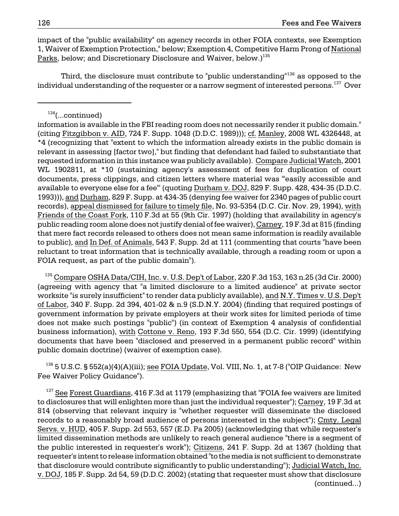impact of the "public availability" on agency records in other FOIA contexts, see Exemption 1, Waiver of Exemption Protection," below; Exemption 4, Competitive Harm Prong of National Parks, below; and Discretionary Disclosure and Waiver, below.)<sup>135</sup>

Third, the disclosure must contribute to "public understanding"<sup>136</sup> as opposed to the individual understanding of the requester or a narrow segment of interested persons.<sup>137</sup> Over

 $^{135}$  Compare OSHA Data/CIH, Inc. v. U.S. Dep't of Labor, 220 F.3d 153, 163 n.25 (3d Cir. 2000) (agreeing with agency that "a limited disclosure to a limited audience" at private sector worksite "is surely insufficient" to render data publicly available), and N.Y. Times v. U.S. Dep't of Labor, 340 F. Supp. 2d 394, 401-02 & n.9 (S.D.N.Y. 2004) (finding that required postings of government information by private employers at their work sites for limited periods of time does not make such postings "public") (in context of Exemption 4 analysis of confidential business information), with Cottone v. Reno, 193 F.3d 550, 554 (D.C. Cir. 1999) (identifying documents that have been "disclosed and preserved in a permanent public record" within public domain doctrine) (waiver of exemption case).

 $^{136}$  5 U.S.C. § 552(a)(4)(A)(iii); see FOIA Update, Vol. VIII, No. 1, at 7-8 ("OIP Guidance: New Fee Waiver Policy Guidance").

 $137$  See Forest Guardians, 416 F.3d at 1179 (emphasizing that "FOIA fee waivers are limited to disclosures that will enlighten more than just the individual requester"); Carney, 19 F.3d at 814 (observing that relevant inquiry is "whether requester will disseminate the disclosed records to a reasonably broad audience of persons interested in the subject"); Cmty. Legal Servs. v. HUD, 405 F. Supp. 2d 553, 557 (E.D. Pa 2005) (acknowledging that while requester's limited dissemination methods are unlikely to reach general audience "there is a segment of the public interested in requester's work"); Citizens, 241 F. Supp. 2d at 1367 (holding that requester's intent to release information obtained "to the media is not sufficient to demonstrate that disclosure would contribute significantly to public understanding"); Judicial Watch, Inc. v. DOJ, 185 F. Supp. 2d 54, 59 (D.D.C. 2002) (stating that requester must show that disclosure (continued...)

 $134$ (...continued)

information is available in the FBI reading room does not necessarily render it public domain." (citing Fitzgibbon v. AID, 724 F. Supp. 1048 (D.D.C. 1989))); cf. Manley, 2008 WL 4326448, at \*4 (recognizing that "extent to which the information already exists in the public domain is relevant in assessing [factor two]," but finding that defendant had failed to substantiate that requested information in this instance was publicly available). Compare Judicial Watch, 2001 WL 1902811, at \*10 (sustaining agency's assessment of fees for duplication of court documents, press clippings, and citizen letters where material was "'easily accessible and available to everyone else for a fee'" (quoting Durham v. DOJ, 829 F. Supp. 428, 434-35 (D.D.C. 1993))), and Durham, 829 F. Supp. at 434-35 (denying fee waiver for 2340 pages of public court records), appeal dismissed for failure to timely file, No. 93-5354 (D.C. Cir. Nov. 29, 1994), with Friends of the Coast Fork, 110 F.3d at 55 (9th Cir. 1997) (holding that availability in agency's public reading room alone does not justify denial of fee waiver), Carney, 19 F.3d at 815 (finding that mere fact records released to others does not mean same information is readily available to public), and In Def. of Animals, 543 F. Supp. 2d at 111 (commenting that courts "have been reluctant to treat information that is technically available, through a reading room or upon a FOIA request, as part of the public domain").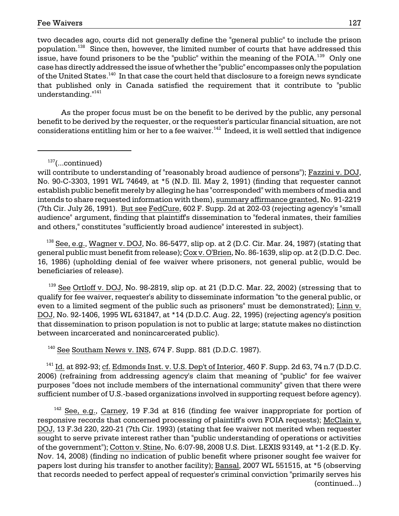issue, have found prisoners to be the "public" within the meaning of the FOIA. $^{\rm 139}$  Only one two decades ago, courts did not generally define the "general public" to include the prison population.<sup>138</sup> Since then, however, the limited number of courts that have addressed this case has directly addressed the issue of whether the "public" encompasses only the population of the United States.<sup>140</sup> In that case the court held that disclosure to a foreign news syndicate that published only in Canada satisfied the requirement that it contribute to "public understanding."<sup>141</sup>

As the proper focus must be on the benefit to be derived by the public, any personal benefit to be derived by the requester, or the requester's particular financial situation, are not considerations entitling him or her to a fee waiver.<sup>142</sup> Indeed, it is well settled that indigence

 $138$  See, e.g., Wagner v. DOJ, No. 86-5477, slip op. at 2 (D.C. Cir. Mar. 24, 1987) (stating that general public must benefit from release); Cox v. O'Brien, No. 86-1639, slip op. at 2 (D.D.C. Dec. 16, 1986) (upholding denial of fee waiver where prisoners, not general public, would be beneficiaries of release).

 $139$  See Ortloff v. DOJ, No. 98-2819, slip op. at 21 (D.D.C. Mar. 22, 2002) (stressing that to qualify for fee waiver, requester's ability to disseminate information "to the general public, or even to a limited segment of the public such as prisoners" must be demonstrated); Linn v. DOJ, No. 92-1406, 1995 WL 631847, at \*14 (D.D.C. Aug. 22, 1995) (rejecting agency's position that dissemination to prison population is not to public at large; statute makes no distinction between incarcerated and nonincarcerated public).

 $140$  See Southam News v. INS, 674 F. Supp. 881 (D.D.C. 1987).

 $141$  Id. at 892-93; cf. Edmonds Inst. v. U.S. Dep't of Interior, 460 F. Supp. 2d 63, 74 n.7 (D.D.C. 2006) (refraining from addressing agency's claim that meaning of "public" for fee waiver purposes "does not include members of the international community" given that there were sufficient number of U.S.-based organizations involved in supporting request before agency).

 $142$  See, e.g., Carney, 19 F.3d at 816 (finding fee waiver inappropriate for portion of responsive records that concerned processing of plaintiff's own FOIA requests); McClain v. DOJ, 13 F.3d 220, 220-21 (7th Cir. 1993) (stating that fee waiver not merited when requester sought to serve private interest rather than "public understanding of operations or activities of the government"); Cotton v. Stine, No. 6:07-98, 2008 U.S. Dist. LEXIS 93149, at \*1-2 (E.D. Ky. Nov. 14, 2008) (finding no indication of public benefit where prisoner sought fee waiver for papers lost during his transfer to another facility); Bansal, 2007 WL 551515, at \*5 (observing that records needed to perfect appeal of requester's criminal conviction "primarily serves his (continued...)

 $137$ (...continued)

will contribute to understanding of "reasonably broad audience of persons"); Fazzini v. DOJ, No. 90-C-3303, 1991 WL 74649, at \*5 (N.D. Ill. May 2, 1991) (finding that requester cannot establish public benefit merely by alleging he has "corresponded" with members of media and intends to share requested information with them), summary affirmance granted, No. 91-2219 (7th Cir. July 26, 1991). But see FedCure, 602 F. Supp. 2d at 202-03 (rejecting agency's "small audience" argument, finding that plaintiff's dissemination to "federal inmates, their families and others," constitutes "sufficiently broad audience" interested in subject).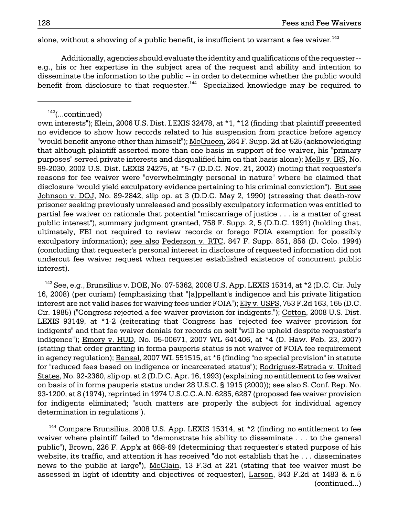alone, without a showing of a public benefit, is insufficient to warrant a fee waiver.<sup>143</sup>

Additionally, agencies should evaluate the identity and qualifications of the requester e.g., his or her expertise in the subject area of the request and ability and intention to disseminate the information to the public -- in order to determine whether the public would benefit from disclosure to that requester.<sup>144</sup> Specialized knowledge may be required to

 for indigents eliminated; "such matters are properly the subject for individual agency  $143$  See, e.g., Brunsilius v. DOE, No. 07-5362, 2008 U.S. App. LEXIS 15314, at \*2 (D.C. Cir. July 16, 2008) (per curiam) (emphasizing that "[a]ppellant's indigence and his private litigation interest are not valid bases for waiving fees under FOIA"); Ely v. USPS, 753 F.2d 163, 165 (D.C. Cir. 1985) ("Congress rejected a fee waiver provision for indigents."); Cotton, 2008 U.S. Dist. LEXIS 93149, at \*1-2 (reiterating that Congress has "rejected fee waiver provision for indigents" and that fee waiver denials for records on self "will be upheld despite requester's indigence"); Emory v. HUD, No. 05-00671, 2007 WL 641406, at \*4 (D. Haw. Feb. 23, 2007) (stating that order granting in forma pauperis status is not waiver of FOIA fee requirement in agency regulation); Bansal, 2007 WL 551515, at \*6 (finding "no special provision" in statute for "reduced fees based on indigence or incarcerated status"); Rodriguez-Estrada v. United States, No. 92-2360, slip op. at 2 (D.D.C. Apr. 16, 1993) (explaining no entitlement to fee waiver on basis of in forma pauperis status under 28 U.S.C. § 1915 (2000)); see also S. Conf. Rep. No. 93-1200, at 8 (1974), reprinted in 1974 U.S.C.C.A.N. 6285, 6287 (proposed fee waiver provision determination in regulations").

<sup>144</sup> Compare Brunsilius, 2008 U.S. App. LEXIS 15314, at \*2 (finding no entitlement to fee waiver where plaintiff failed to "demonstrate his ability to disseminate . . . to the general public"), Brown, 226 F. App'x at 868-69 (determining that requester's stated purpose of his website, its traffic, and attention it has received "do not establish that he . . . disseminates news to the public at large"), McClain, 13 F.3d at 221 (stating that fee waiver must be assessed in light of identity and objectives of requester), Larson, 843 F.2d at 1483 & n.5 (continued...)

 $142$ (...continued)

 Johnson v. DOJ, No. 89-2842, slip op. at 3 (D.D.C. May 2, 1990) (stressing that death-row own interests"); Klein, 2006 U.S. Dist. LEXIS 32478, at \*1, \*12 (finding that plaintiff presented no evidence to show how records related to his suspension from practice before agency "would benefit anyone other than himself"); McQueen, 264 F. Supp. 2d at 525 (acknowledging that although plaintiff asserted more than one basis in support of fee waiver, his "primary purposes" served private interests and disqualified him on that basis alone); Mells v. IRS, No. 99-2030, 2002 U.S. Dist. LEXIS 24275, at \*5-7 (D.D.C. Nov. 21, 2002) (noting that requester's reasons for fee waiver were "overwhelmingly personal in nature" where he claimed that disclosure "would yield exculpatory evidence pertaining to his criminal conviction"). But see prisoner seeking previously unreleased and possibly exculpatory information was entitled to partial fee waiver on rationale that potential "miscarriage of justice . . . is a matter of great public interest"), summary judgment granted, 758 F. Supp. 2, 5 (D.D.C. 1991) (holding that, ultimately, FBI not required to review records or forego FOIA exemption for possibly exculpatory information); see also Pederson v. RTC, 847 F. Supp. 851, 856 (D. Colo. 1994) (concluding that requester's personal interest in disclosure of requested information did not undercut fee waiver request when requester established existence of concurrent public interest).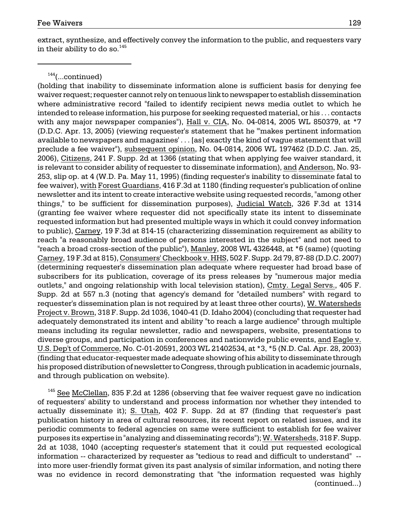extract, synthesize, and effectively convey the information to the public, and requesters vary in their ability to do so.  $145$ 

 $144$ (...continued)

(holding that inability to disseminate information alone is sufficient basis for denying fee waiver request; requester cannot rely on tenuous link to newspaper to establish dissemination where administrative record "failed to identify recipient news media outlet to which he intended to release information, his purpose for seeking requested material, or his . . . contacts with any major newspaper companies"), Hall v. CIA, No. 04-0814, 2005 WL 850379, at \*7 (D.D.C. Apr. 13, 2005) (viewing requester's statement that he "'makes pertinent information available to newspapers and magazines' . . . [as] exactly the kind of vague statement that will preclude a fee waiver"), subsequent opinion, No. 04-0814, 2006 WL 197462 (D.D.C. Jan. 25, 2006), Citizens, 241 F. Supp. 2d at 1366 (stating that when applying fee waiver standard, it is relevant to consider ability of requester to disseminate information), and Anderson, No. 93 253, slip op. at 4 (W.D. Pa. May 11, 1995) (finding requester's inability to disseminate fatal to fee waiver), with Forest Guardians, 416 F.3d at 1180 (finding requester's publication of online newsletter and its intent to create interactive website using requested records, "among other things," to be sufficient for dissemination purposes), Judicial Watch, 326 F.3d at 1314 (granting fee waiver where requester did not specifically state its intent to disseminate requested information but had presented multiple ways in which it could convey information to public), Carney, 19 F.3d at 814-15 (characterizing dissemination requirement as ability to reach "a reasonably broad audience of persons interested in the subject" and not need to "reach a broad cross-section of the public"), Manley, 2008 WL 4326448, at \*6 (same) (quoting Carney, 19 F.3d at 815), Consumers' Checkbook v. HHS, 502 F. Supp. 2d 79, 87-88 (D.D.C. 2007) (determining requester's dissemination plan adequate where requester had broad base of subscribers for its publication, coverage of its press releases by "numerous major media outlets," and ongoing relationship with local television station), Cmty. Legal Servs., 405 F. Supp. 2d at 557 n.3 (noting that agency's demand for "detailed numbers" with regard to requester's dissemination plan is not required by at least three other courts), W. Watersheds Project v. Brown, 318 F. Supp. 2d 1036, 1040-41 (D. Idaho 2004) (concluding that requester had adequately demonstrated its intent and ability "to reach a large audience" through multiple means including its regular newsletter, radio and newspapers, website, presentations to diverse groups, and participation in conferences and nationwide public events, and Eagle v. U.S. Dep't of Commerce, No. C-01-20591, 2003 WL 21402534, at \*3, \*5 (N.D. Cal. Apr. 28, 2003) (finding that educator-requester made adequate showing of his ability to disseminate through his proposed distribution of newsletter to Congress, through publication in academic journals, and through publication on website).

 $145$  See McClellan, 835 F.2d at 1286 (observing that fee waiver request gave no indication of requesters' ability to understand and process information nor whether they intended to actually disseminate it); S. Utah, 402 F. Supp. 2d at 87 (finding that requester's past publication history in area of cultural resources, its recent report on related issues, and its periodic comments to federal agencies on same were sufficient to establish for fee waiver purposes its expertise in "analyzing and disseminating records"); W. Watersheds, 318 F. Supp. 2d at 1038, 1040 (accepting requester's statement that it could put requested ecological information -- characterized by requester as "tedious to read and difficult to understand" into more user-friendly format given its past analysis of similar information, and noting there was no evidence in record demonstrating that "the information requested was highly (continued...)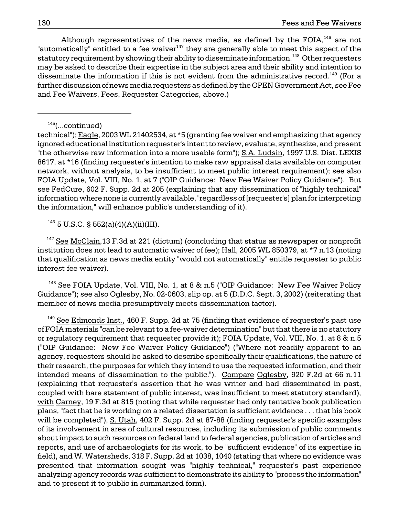Although representatives of the news media, as defined by the FOIA, $^{146}$  are not "automatically" entitled to a fee waiver $147$  they are generally able to meet this aspect of the statutory requirement by showing their ability to disseminate information.<sup>148</sup> Other requesters may be asked to describe their expertise in the subject area and their ability and intention to disseminate the information if this is not evident from the administrative record.<sup>149</sup> (For a further discussion of news media requesters as defined by the OPEN Government Act, see Fee and Fee Waivers, Fees, Requester Categories, above.)

technical"); Eagle, 2003 WL 21402534, at \*5 (granting fee waiver and emphasizing that agency ignored educational institution requester's intent to review, evaluate, synthesize, and present "the otherwise raw information into a more usable form"); S.A. Ludsin, 1997 U.S. Dist. LEXIS 8617, at \*16 (finding requester's intention to make raw appraisal data available on computer network, without analysis, to be insufficient to meet public interest requirement); see also FOIA Update, Vol. VIII, No. 1, at 7 ("OIP Guidance: New Fee Waiver Policy Guidance"). But see FedCure, 602 F. Supp. 2d at 205 (explaining that any dissemination of "highly technical" information where none is currently available, "regardless of [requester's] plan for interpreting the information," will enhance public's understanding of it).

 $146$  5 U.S.C. § 552(a)(4)(A)(ii)(III).

 $147$  See McClain, 13 F.3d at 221 (dictum) (concluding that status as newspaper or nonprofit institution does not lead to automatic waiver of fee); Hall, 2005 WL 850379, at \*7 n.13 (noting that qualification as news media entity "would not automatically" entitle requester to public interest fee waiver).

Guidance"); <u>see also Oglesby,</u> No. 02-0603, slip op. at 5 (D.D.C. Sept. 3, 2002) (reiterating that  $148$  See FOIA Update, Vol. VIII, No. 1, at 8 & n.5 ("OIP Guidance: New Fee Waiver Policy member of news media presumptively meets dissemination factor).

 reports, and use of archaeologists for its work, to be "sufficient evidence" of its expertise in  $149$  See Edmonds Inst., 460 F. Supp. 2d at 75 (finding that evidence of requester's past use of FOIA materials "can be relevant to a fee-waiver determination" but that there is no statutory or regulatory requirement that requester provide it); FOIA Update, Vol. VIII, No. 1, at 8 & n.5 ("OIP Guidance: New Fee Waiver Policy Guidance") ("Where not readily apparent to an agency, requesters should be asked to describe specifically their qualifications, the nature of their research, the purposes for which they intend to use the requested information, and their intended means of dissemination to the public."). Compare Oglesby, 920 F.2d at 66 n.11 (explaining that requester's assertion that he was writer and had disseminated in past, coupled with bare statement of public interest, was insufficient to meet statutory standard), with Carney, 19 F.3d at 815 (noting that while requester had only tentative book publication plans, "fact that he is working on a related dissertation is sufficient evidence . . . that his book will be completed"), S. Utah, 402 F. Supp. 2d at 87-88 (finding requester's specific examples of its involvement in area of cultural resources, including its submission of public comments about impact to such resources on federal land to federal agencies, publication of articles and field), and W. Watersheds, 318 F. Supp. 2d at 1038, 1040 (stating that where no evidence was presented that information sought was "highly technical," requester's past experience analyzing agency records was sufficient to demonstrate its ability to "process the information" and to present it to public in summarized form).

 $145$ (...continued)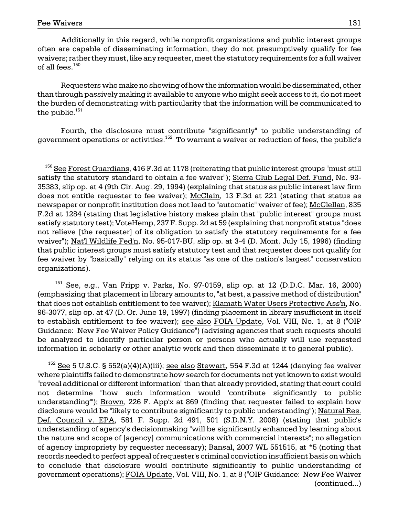Additionally in this regard, while nonprofit organizations and public interest groups often are capable of disseminating information, they do not presumptively qualify for fee waivers; rather they must, like any requester, meet the statutory requirements for a full waiver of all fees. $150$ 

Requesters who make no showing of how the information would be disseminated, other than through passively making it available to anyone who might seek access to it, do not meet the burden of demonstrating with particularity that the information will be communicated to the public. $151$ 

 Fourth, the disclosure must contribute "significantly" to public understanding of government operations or activities. $^{152}$  To warrant a waiver or reduction of fees, the public's

See, e.g., Van Fripp v. Parks, No. 97-0159, slip op. at 12 (D.D.C. Mar. 16, 2000) (emphasizing that placement in library amounts to, "at best, a passive method of distribution" that does not establish entitlement to fee waiver); Klamath Water Users Protective Ass'n, No. 96-3077, slip op. at 47 (D. Or. June 19, 1997) (finding placement in library insufficient in itself to establish entitlement to fee waiver); see also FOIA Update, Vol. VIII, No. 1, at 8 ("OIP Guidance: New Fee Waiver Policy Guidance") (advising agencies that such requests should be analyzed to identify particular person or persons who actually will use requested information in scholarly or other analytic work and then disseminate it to general public).

 understanding of agency's decisionmaking "will be significantly enhanced by learning about  $152$  See 5 U.S.C. § 552(a)(4)(A)(iii); see also Stewart, 554 F.3d at 1244 (denying fee waiver where plaintiffs failed to demonstrate how search for documents not yet known to exist would "reveal additional or different information" than that already provided, stating that court could not determine "how such information would 'contribute significantly to public understanding'"); Brown, 226 F. App'x at 869 (finding that requester failed to explain how disclosure would be "likely to contribute significantly to public understanding"); Natural Res. Def. Council v. EPA, 581 F. Supp. 2d 491, 501 (S.D.N.Y. 2008) (stating that public's the nature and scope of [agency] communications with commercial interests"; no allegation of agency impropriety by requester necessary); Bansal, 2007 WL 551515, at \*5 (noting that records needed to perfect appeal of requester's criminal conviction insufficient basis on which to conclude that disclosure would contribute significantly to public understanding of government operations); FOIA Update, Vol. VIII, No. 1, at 8 ("OIP Guidance: New Fee Waiver (continued...)

satisfy the statutory standard to obtain a fee waiver"); Sierra Club Legal Def. Fund, No. 93- 35383, slip op. at 4 (9th Cir. Aug. 29, 1994) (explaining that status as public interest law firm F.2d at 1284 (stating that legislative history makes plain that "public interest" groups must  $150$  See Forest Guardians, 416 F.3d at 1178 (reiterating that public interest groups "must still does not entitle requester to fee waiver); McClain, 13 F.3d at 221 (stating that status as newspaper or nonprofit institution does not lead to "automatic" waiver of fee); McClellan, 835 satisfy statutory test); VoteHemp, 237 F. Supp. 2d at 59 (explaining that nonprofit status "does not relieve [the requester] of its obligation to satisfy the statutory requirements for a fee waiver"); Nat'l Wildlife Fed'n, No. 95-017-BU, slip op. at 3-4 (D. Mont. July 15, 1996) (finding that public interest groups must satisfy statutory test and that requester does not qualify for fee waiver by "basically" relying on its status "as one of the nation's largest" conservation organizations).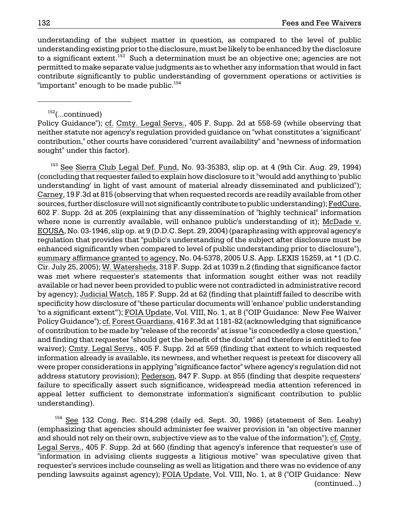understanding of the subject matter in question, as compared to the level of public understanding existing prior to the disclosure, must be likely to be enhanced by the disclosure to a significant extent.<sup>153</sup> Such a determination must be an objective one; agencies are not permitted to make separate value judgments as to whether any information that would in fact contribute significantly to public understanding of government operations or activities is "important" enough to be made public.<sup>154</sup>

#### $152$ (...continued)

Policy Guidance"); cf. Cmty. Legal Servs., 405 F. Supp. 2d at 558-59 (while observing that neither statute nor agency's regulation provided guidance on "what constitutes a 'significant' contribution," other courts have considered "current availability" and "newness of information sought" under this factor).

 enhanced significantly when compared to level of public understanding prior to disclosure"), summary affirmance granted to agency, No. 04-5378, 2005 U.S. App. LEXIS 15259, at \*1 (D.C. available or had never been provided to public were not contradicted in administrative record  $153$  See Sierra Club Legal Def. Fund, No. 93-35383, slip op. at 4 (9th Cir. Aug. 29, 1994) (concluding that requester failed to explain how disclosure to it "would add anything to 'public understanding' in light of vast amount of material already disseminated and publicized"); Carney, 19 F.3d at 815 (observing that when requested records are readily available from other sources, further disclosure will not significantly contribute to public understanding); FedCure, 602 F. Supp. 2d at 205 (explaining that any dissemination of "highly technical" information where none is currently available, will enhance public's understanding of it); McDade v. EOUSA, No. 03-1946, slip op. at 9 (D.D.C. Sept. 29, 2004) (paraphrasing with approval agency's regulation that provides that "public's understanding of the subject after disclosure must be Cir. July 25, 2005); W. Watersheds, 318 F. Supp. 2d at 1039 n.2 (finding that significance factor was met where requester's statements that information sought either was not readily by agency); Judicial Watch, 185 F. Supp. 2d at 62 (finding that plaintiff failed to describe with specificity how disclosure of "these particular documents will 'enhance' public understanding 'to a significant extent'"); FOIA Update, Vol. VIII, No. 1, at 8 ("OIP Guidance: New Fee Waiver Policy Guidance"); cf. Forest Guardians, 416 F.3d at 1181-82 (acknowledging that significance of contribution to be made by "release of the records" at issue "is concededly a close question," and finding that requester "should get the benefit of the doubt" and therefore is entitled to fee waiver); Cmty. Legal Servs., 405 F. Supp. 2d at 559 (finding that extent to which requested information already is available, its newness, and whether request is pretext for discovery all were proper considerations in applying "significance factor" where agency's regulation did not address statutory provision); Pederson, 847 F. Supp. at 855 (finding that despite requesters' failure to specifically assert such significance, widespread media attention referenced in appeal letter sufficient to demonstrate information's significant contribution to public understanding).

154 See 132 Cong. Rec. S14,298 (daily ed. Sept. 30, 1986) (statement of Sen. Leahy) (emphasizing that agencies should administer fee waiver provision in "an objective manner and should not rely on their own, subjective view as to the value of the information"); cf. Cmty. Legal Servs., 405 F. Supp. 2d at 560 (finding that agency's inference that requester's use of "information in advising clients suggests a litigious motive" was speculative given that requester's services include counseling as well as litigation and there was no evidence of any pending lawsuits against agency); FOIA Update, Vol. VIII, No. 1, at 8 ("OIP Guidance: New (continued...)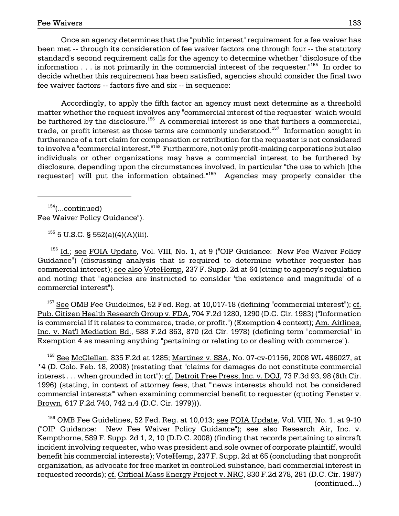standard's second requirement calls for the agency to determine whether "disclosure of the Once an agency determines that the "public interest" requirement for a fee waiver has been met -- through its consideration of fee waiver factors one through four -- the statutory information  $\ldots$  is not primarily in the commercial interest of the requester."<sup>155</sup> In order to decide whether this requirement has been satisfied, agencies should consider the final two fee waiver factors -- factors five and six -- in sequence:

requester] will put the information obtained."<sup>159</sup> Agencies may properly consider the Accordingly, to apply the fifth factor an agency must next determine as a threshold matter whether the request involves any "commercial interest of the requester" which would be furthered by the disclosure.<sup>156</sup> A commercial interest is one that furthers a commercial, trade, or profit interest as those terms are commonly understood.<sup>157</sup> Information sought in furtherance of a tort claim for compensation or retribution for the requester is not considered to involve a "commercial interest."<sup>158</sup> Furthermore, not only profit-making corporations but also individuals or other organizations may have a commercial interest to be furthered by disclosure, depending upon the circumstances involved, in particular "the use to which [the

 $154$ (...continued) Fee Waiver Policy Guidance").

 $155$  5 U.S.C. § 552(a)(4)(A)(iii).

 $156$  Id.; see FOIA Update, Vol. VIII, No. 1, at 9 ("OIP Guidance: New Fee Waiver Policy Guidance") (discussing analysis that is required to determine whether requester has commercial interest); see also VoteHemp, 237 F. Supp. 2d at 64 (citing to agency's regulation and noting that "agencies are instructed to consider 'the existence and magnitude' of a commercial interest").

 $157$  See OMB Fee Guidelines, 52 Fed. Reg. at 10,017-18 (defining "commercial interest"); cf. Pub. Citizen Health Research Group v. FDA, 704 F.2d 1280, 1290 (D.C. Cir. 1983) ("Information is commercial if it relates to commerce, trade, or profit.") (Exemption 4 context); Am. Airlines, Inc. v. Nat'l Mediation Bd., 588 F.2d 863, 870 (2d Cir. 1978) (defining term "commercial" in Exemption 4 as meaning anything "pertaining or relating to or dealing with commerce").

interest . . . when grounded in tort"); <u>cf. Detroit Free Press, Inc. v. DOJ,</u> 73 F.3d 93, 98 (6th Cir. 158 See McClellan, 835 F.2d at 1285; Martinez v. SSA, No. 07-cv-01156, 2008 WL 486027, at \*4 (D. Colo. Feb. 18, 2008) (restating that "claims for damages do not constitute commercial 1996) (stating, in context of attorney fees, that "'news interests should not be considered commercial interests'" when examining commercial benefit to requester (quoting Fenster v. Brown, 617 F.2d 740, 742 n.4 (D.C. Cir. 1979))).

 incident involving requester, who was president and sole owner of corporate plaintiff, would  $^{159}$  OMB Fee Guidelines, 52 Fed. Reg. at 10,013; see FOIA Update, Vol. VIII, No. 1, at 9-10 ("OIP Guidance: New Fee Waiver Policy Guidance"); see also Research Air, Inc. v. Kempthorne, 589 F. Supp. 2d 1, 2, 10 (D.D.C. 2008) (finding that records pertaining to aircraft benefit his commercial interests); VoteHemp, 237 F. Supp. 2d at 65 (concluding that nonprofit organization, as advocate for free market in controlled substance, had commercial interest in requested records); cf. Critical Mass Energy Project v. NRC, 830 F.2d 278, 281 (D.C. Cir. 1987) (continued...)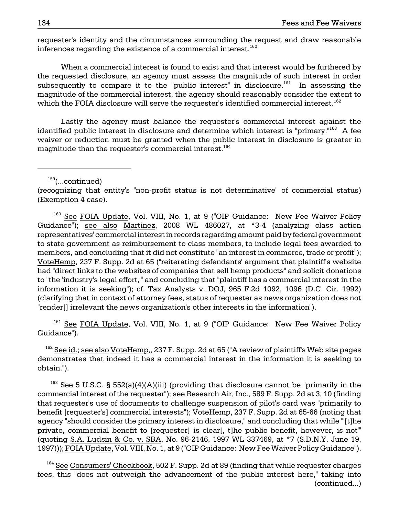requester's identity and the circumstances surrounding the request and draw reasonable inferences regarding the existence of a commercial interest.<sup>160</sup>

When a commercial interest is found to exist and that interest would be furthered by the requested disclosure, an agency must assess the magnitude of such interest in order subsequently to compare it to the "public interest" in disclosure.<sup>161</sup> In assessing the magnitude of the commercial interest, the agency should reasonably consider the extent to which the FOIA disclosure will serve the requester's identified commercial interest.<sup>162</sup>

Lastly the agency must balance the requester's commercial interest against the identified public interest in disclosure and determine which interest is "primary."<sup>163</sup> A fee waiver or reduction must be granted when the public interest in disclosure is greater in magnitude than the requester's commercial interest.<sup>164</sup>

 $159$ (...continued)

(recognizing that entity's "non-profit status is not determinative" of commercial status) (Exemption 4 case).

 to "the 'industry's legal effort,'" and concluding that "plaintiff has a commercial interest in the <sup>160</sup> See FOIA Update, Vol. VIII, No. 1, at 9 ("OIP Guidance: New Fee Waiver Policy Guidance"); see also Martinez, 2008 WL 486027, at \*3-4 (analyzing class action representatives' commercial interest in records regarding amount paid by federal government to state government as reimbursement to class members, to include legal fees awarded to members, and concluding that it did not constitute "an interest in commerce, trade or profit"); VoteHemp, 237 F. Supp. 2d at 65 ("reiterating defendants' argument that plaintiff's website had "direct links to the websites of companies that sell hemp products" and solicit donations information it is seeking"); cf. Tax Analysts v. DOJ, 965 F.2d 1092, 1096 (D.C. Cir. 1992) (clarifying that in context of attorney fees, status of requester as news organization does not "render[] irrelevant the news organization's other interests in the information").

<sup>161</sup> See FOIA Update, Vol. VIII, No. 1, at 9 ("OIP Guidance: New Fee Waiver Policy Guidance").

obtain.").  $162$  See id.; see also VoteHemp,, 237 F. Supp. 2d at 65 ("A review of plaintiff's Web site pages demonstrates that indeed it has a commercial interest in the information it is seeking to

<sup>163</sup> See 5 U.S.C. § 552(a)(4)(A)(iii) (providing that disclosure cannot be "primarily in the commercial interest of the requester"); see Research Air, Inc., 589 F. Supp. 2d at 3, 10 (finding that requester's use of documents to challenge suspension of pilot's card was "primarily to benefit [requester's] commercial interests"); VoteHemp, 237 F. Supp. 2d at 65-66 (noting that agency "should consider the primary interest in disclosure," and concluding that while "'[t]he private, commercial benefit to [requester] is clear[, t]he public benefit, however, is not'" (quoting S.A. Ludsin & Co. v. SBA, No. 96-2146, 1997 WL 337469, at \*7 (S.D.N.Y. June 19, 1997))); FOIA Update, Vol. VIII, No. 1, at 9 ("OIP Guidance: New Fee Waiver Policy Guidance").

 $164}$  See Consumers' Checkbook, 502 F. Supp. 2d at 89 (finding that while requester charges fees, this "does not outweigh the advancement of the public interest here," taking into (continued...)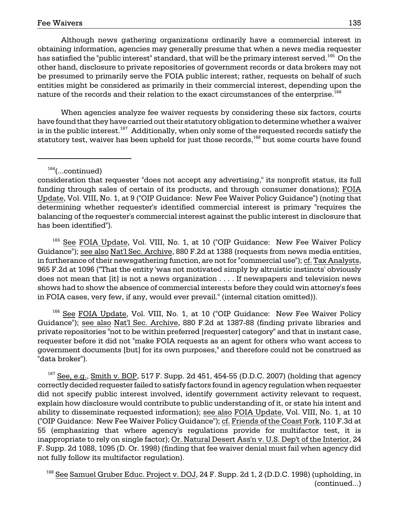Although news gathering organizations ordinarily have a commercial interest in obtaining information, agencies may generally presume that when a news media requester has satisfied the "public interest" standard, that will be the primary interest served.<sup>165</sup> On the other hand, disclosure to private repositories of government records or data brokers may not be presumed to primarily serve the FOIA public interest; rather, requests on behalf of such entities might be considered as primarily in their commercial interest, depending upon the nature of the records and their relation to the exact circumstances of the enterprise.<sup>166</sup>

When agencies analyze fee waiver requests by considering these six factors, courts have found that they have carried out their statutory obligation to determine whether a waiver is in the public interest.<sup>167</sup> Additionally, when only some of the requested records satisfy the statutory test, waiver has been upheld for just those records,<sup>168</sup> but some courts have found

 $164$ (...continued)

consideration that requester "does not accept any advertising," its nonprofit status, its full funding through sales of certain of its products, and through consumer donations); FOIA Update, Vol. VIII, No. 1, at 9 ("OIP Guidance: New Fee Waiver Policy Guidance") (noting that determining whether requester's identified commercial interest is primary "requires the balancing of the requester's commercial interest against the public interest in disclosure that has been identified").

<sup>165</sup> See FOIA Update, Vol. VIII, No. 1, at 10 ("OIP Guidance: New Fee Waiver Policy Guidance"); see also Nat'l Sec. Archive, 880 F.2d at 1388 (requests from news media entities, in furtherance of their newsgathering function, are not for "commercial use"); cf. Tax Analysts, 965 F.2d at 1096 ("That the entity 'was not motivated simply by altruistic instincts' obviously does not mean that [it] is not a news organization . . . . If newspapers and television news shows had to show the absence of commercial interests before they could win attorney's fees in FOIA cases, very few, if any, would ever prevail." (internal citation omitted)).

<sup>166</sup> See FOIA Update, Vol. VIII, No. 1, at 10 ("OIP Guidance: New Fee Waiver Policy Guidance"); see also Nat'l Sec. Archive, 880 F.2d at 1387-88 (finding private libraries and private repositories "not to be within preferred [requester] category" and that in instant case, requester before it did not "make FOIA requests as an agent for others who want access to government documents [but] for its own purposes," and therefore could not be construed as "data broker").

 $167$  See, e.g., Smith v. BOP, 517 F. Supp. 2d 451, 454-55 (D.D.C. 2007) (holding that agency correctly decided requester failed to satisfy factors found in agency regulation when requester did not specify public interest involved, identify government activity relevant to request, explain how disclosure would contribute to public understanding of it, or state his intent and ability to disseminate requested information); see also FOIA Update, Vol. VIII, No. 1, at 10 ("OIP Guidance: New Fee Waiver Policy Guidance"); cf. Friends of the Coast Fork, 110 F.3d at 55 (emphasizing that where agency's regulations provide for multifactor test, it is inappropriate to rely on single factor); Or. Natural Desert Ass'n v. U.S. Dep't of the Interior, 24 F. Supp. 2d 1088, 1095 (D. Or. 1998) (finding that fee waiver denial must fail when agency did not fully follow its multifactor regulation).

<sup>168</sup> See Samuel Gruber Educ. Project v. DOJ, 24 F. Supp. 2d 1, 2 (D.D.C. 1998) (upholding, in (continued...)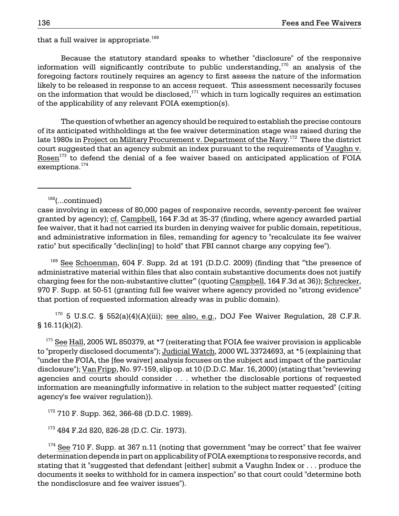that a full waiver is appropriate. $169$ 

Because the statutory standard speaks to whether "disclosure" of the responsive information will significantly contribute to public understanding,  $170$  an analysis of the foregoing factors routinely requires an agency to first assess the nature of the information likely to be released in response to an access request. This assessment necessarily focuses on the information that would be disclosed, $171$  which in turn logically requires an estimation of the applicability of any relevant FOIA exemption(s).

late 1980s in <u>Project on Military Procurement v. Department of the Navy</u>.<sup>172</sup> There the district exemptions.<sup>174</sup> The question of whether an agency should be required to establish the precise contours of its anticipated withholdings at the fee waiver determination stage was raised during the court suggested that an agency submit an index pursuant to the requirements of Vaughn v. Rosen $173$  to defend the denial of a fee waiver based on anticipated application of FOIA

 $168$ (...continued)

 that portion of requested information already was in public domain).  $169$  See Schoenman, 604 F. Supp. 2d at 191 (D.D.C. 2009) (finding that "the presence of administrative material within files that also contain substantive documents does not justify charging fees for the non-substantive clutter'" (quoting Campbell, 164 F.3d at 36)); Schrecker, 970 F. Supp. at 50-51 (granting full fee waiver where agency provided no "strong evidence"

 $170$  5 U.S.C. § 552(a)(4)(A)(iii); see also, e.g., DOJ Fee Waiver Regulation, 28 C.F.R. § 16.11(k)(2).

 $171$  See Hall, 2005 WL 850379, at  $*7$  (reiterating that FOIA fee waiver provision is applicable to "properly disclosed documents"); Judicial Watch, 2000 WL 33724693, at \*5 (explaining that "under the FOIA, the [fee waiver] analysis focuses on the subject and impact of the particular disclosure"); Van Fripp, No. 97-159, slip op. at 10 (D.D.C. Mar. 16, 2000) (stating that "reviewing agencies and courts should consider . . . whether the disclosable portions of requested information are meaningfully informative in relation to the subject matter requested" (citing agency's fee waiver regulation)).

172 710 F. Supp. 362, 366-68 (D.D.C. 1989).

173 484 F.2d 820, 826-28 (D.C. Cir. 1973).

case involving in excess of 80,000 pages of responsive records, seventy-percent fee waiver granted by agency); cf. Campbell, 164 F.3d at 35-37 (finding, where agency awarded partial fee waiver, that it had not carried its burden in denying waiver for public domain, repetitious, and administrative information in files, remanding for agency to "recalculate its fee waiver ratio" but specifically "declin[ing] to hold" that FBI cannot charge any copying fee").

 determination depends in part on applicability of FOIA exemptions to responsive records, and  $174$  See 710 F. Supp. at 367 n.11 (noting that government "may be correct" that fee waiver stating that it "suggested that defendant [either] submit a Vaughn Index or . . . produce the documents it seeks to withhold for in camera inspection" so that court could "determine both the nondisclosure and fee waiver issues").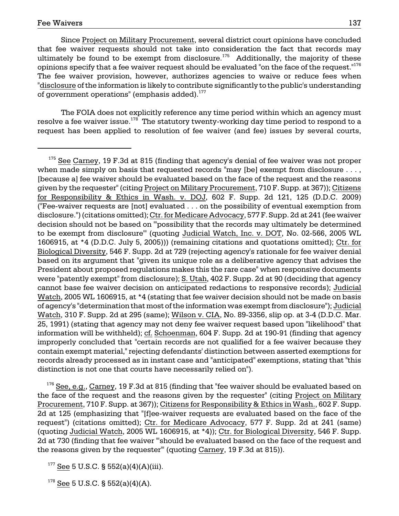of government operations" (emphasis added). $^{177}$ Since Project on Military Procurement, several district court opinions have concluded that fee waiver requests should not take into consideration the fact that records may ultimately be found to be exempt from disclosure.<sup>175</sup> Additionally, the majority of these opinions specify that a fee waiver request should be evaluated "on the face of the request."<sup>176</sup> The fee waiver provision, however, authorizes agencies to waive or reduce fees when "disclosure of the information is likely to contribute significantly to the public's understanding

The FOIA does not explicitly reference any time period within which an agency must resolve a fee waiver issue.<sup>178</sup> The statutory twenty-working day time period to respond to a request has been applied to resolution of fee waiver (and fee) issues by several courts,

 $176$  See, e.g., Carney, 19 F.3d at 815 (finding that "fee waiver should be evaluated based on the face of the request and the reasons given by the requester" (citing Project on Military Procurement, 710 F. Supp. at 367)); Citizens for Responsibility & Ethics in Wash., 602 F. Supp. 2d at 125 (emphasizing that "[f]ee-waiver requests are evaluated based on the face of the request") (citations omitted); Ctr. for Medicare Advocacy, 577 F. Supp. 2d at 241 (same) (quoting Judicial Watch, 2005 WL 1606915, at \*4)); Ctr. for Biological Diversity, 546 F. Supp. 2d at 730 (finding that fee waiver "'should be evaluated based on the face of the request and the reasons given by the requester'" (quoting Carney, 19 F.3d at 815)).

 $177$  See 5 U.S.C. § 552(a)(4)(A)(iii).

 $178$  See 5 U.S.C. § 552(a)(4)(A).

 $175$  See Carney, 19 F.3d at 815 (finding that agency's denial of fee waiver was not proper when made simply on basis that requested records "may [be] exempt from disclosure ..., [because a] fee waiver should be evaluated based on the face of the request and the reasons given by the requester" (citing Project on Military Procurement, 710 F. Supp. at 367)); Citizens for Responsibility & Ethics in Wash. v. DOJ, 602 F. Supp. 2d 121, 125 (D.D.C. 2009) ("Fee-waiver requests are [not] evaluated . . . on the possibility of eventual exemption from disclosure.") (citations omitted); Ctr. for Medicare Advocacy, 577 F. Supp. 2d at 241 (fee waiver decision should not be based on "'possibility that the records may ultimately be determined to be exempt from disclosure'" (quoting Judicial Watch, Inc. v. DOT, No. 02-566, 2005 WL 1606915, at \*4 (D.D.C. July 5, 2005))) (remaining citations and quotations omitted); Ctr. for Biological Diversity, 546 F. Supp. 2d at 729 (rejecting agency's rationale for fee waiver denial based on its argument that "given its unique role as a deliberative agency that advises the President about proposed regulations makes this the rare case" when responsive documents were "patently exempt" from disclosure); S. Utah, 402 F. Supp. 2d at 90 (deciding that agency cannot base fee waiver decision on anticipated redactions to responsive records); Judicial Watch, 2005 WL 1606915, at \*4 (stating that fee waiver decision should not be made on basis of agency's "determination that most of the information was exempt from disclosure"); Judicial Watch, 310 F. Supp. 2d at 295 (same); Wilson v. CIA, No. 89-3356, slip op. at 3-4 (D.D.C. Mar. 25, 1991) (stating that agency may not deny fee waiver request based upon "likelihood" that information will be withheld); cf. Schoenman, 604 F. Supp. 2d at 190-91 (finding that agency improperly concluded that "certain records are not qualified for a fee waiver because they contain exempt material," rejecting defendants' distinction between asserted exemptions for records already processed as in instant case and "anticipated" exemptions, stating that "this distinction is not one that courts have necessarily relied on").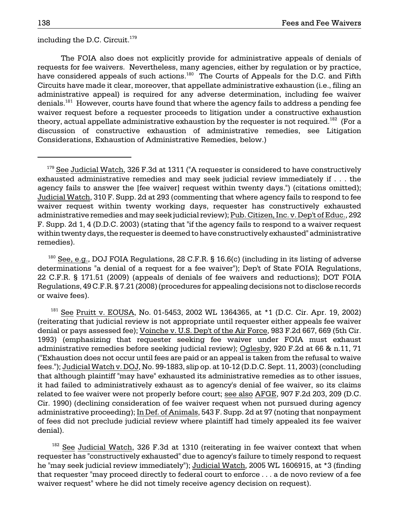including the D.C. Circuit.<sup>179</sup>

The FOIA also does not explicitly provide for administrative appeals of denials of requests for fee waivers. Nevertheless, many agencies, either by regulation or by practice, have considered appeals of such actions.<sup>180</sup> The Courts of Appeals for the D.C. and Fifth Circuits have made it clear, moreover, that appellate administrative exhaustion (i.e., filing an administrative appeal) is required for any adverse determination, including fee waiver denials.<sup>181</sup> However, courts have found that where the agency fails to address a pending fee waiver request before a requester proceeds to litigation under a constructive exhaustion theory, actual appellate administrative exhaustion by the requester is not required.<sup>182</sup> (For a discussion of constructive exhaustion of administrative remedies, see Litigation Considerations, Exhaustion of Administrative Remedies, below.)

<sup>180</sup> See, e.g., DOJ FOIA Regulations, 28 C.F.R. § 16.6(c) (including in its listing of adverse determinations "a denial of a request for a fee waiver"); Dep't of State FOIA Regulations, 22 C.F.R. § 171.51 (2009) (appeals of denials of fee waivers and reductions); DOT FOIA Regulations, 49 C.F.R. § 7.21 (2008) (procedures for appealing decisions not to disclose records or waive fees).

 $181$  See Pruitt v. EOUSA, No. 01-5453, 2002 WL 1364365, at \*1 (D.C. Cir. Apr. 19, 2002) (reiterating that judicial review is not appropriate until requester either appeals fee waiver denial or pays assessed fee); Voinche v. U.S. Dep't of the Air Force, 983 F.2d 667, 669 (5th Cir. 1993) (emphasizing that requester seeking fee waiver under FOIA must exhaust administrative remedies before seeking judicial review); Oglesby, 920 F.2d at 66 & n.11, 71 ("Exhaustion does not occur until fees are paid or an appeal is taken from the refusal to waive fees."); Judicial Watch v. DOJ, No. 99-1883, slip op. at 10-12 (D.D.C. Sept. 11, 2003) (concluding that although plaintiff "may have" exhausted its administrative remedies as to other issues, it had failed to administratively exhaust as to agency's denial of fee waiver, so its claims related to fee waiver were not properly before court; see also AFGE, 907 F.2d 203, 209 (D.C. Cir. 1990) (declining consideration of fee waiver request when not pursued during agency administrative proceeding); In Def. of Animals, 543 F. Supp. 2d at 97 (noting that nonpayment of fees did not preclude judicial review where plaintiff had timely appealed its fee waiver denial).

<sup>182</sup> See Judicial Watch, 326 F.3d at 1310 (reiterating in fee waiver context that when requester has "constructively exhausted" due to agency's failure to timely respond to request he "may seek judicial review immediately"); Judicial Watch, 2005 WL 1606915, at \*3 (finding that requester "may proceed directly to federal court to enforce . . . a de novo review of a fee waiver request" where he did not timely receive agency decision on request).

 $179$  See Judicial Watch, 326 F.3d at 1311 ("A requester is considered to have constructively exhausted administrative remedies and may seek judicial review immediately if . . . the agency fails to answer the [fee waiver] request within twenty days.") (citations omitted); Judicial Watch, 310 F. Supp. 2d at 293 (commenting that where agency fails to respond to fee waiver request within twenty working days, requester has constructively exhausted administrative remedies and may seek judicial review); Pub. Citizen, Inc. v. Dep't of Educ., 292 F. Supp. 2d 1, 4 (D.D.C. 2003) (stating that "if the agency fails to respond to a waiver request within twenty days, the requester is deemed to have constructively exhausted" administrative remedies).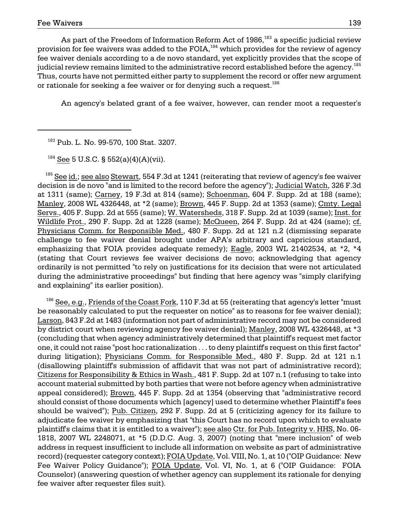or rationale for seeking a fee waiver or for denying such a request. $^{186}$ As part of the Freedom of Information Reform Act of 1986,<sup>183</sup> a specific judicial review provision for fee waivers was added to the  $FOIA$ ,<sup>184</sup> which provides for the review of agency fee waiver denials according to a de novo standard, yet explicitly provides that the scope of judicial review remains limited to the administrative record established before the agency.<sup>185</sup> Thus, courts have not permitted either party to supplement the record or offer new argument

An agency's belated grant of a fee waiver, however, can render moot a requester's

<sup>183</sup> Pub. L. No. 99-570, 100 Stat. 3207.

 $184$  See 5 U.S.C. § 552(a)(4)(A)(vii).

decision is de novo "and is limited to the record before the agency"); Judicial Watch, 326 F.3d  $185$  See id.; see also Stewart, 554 F.3d at 1241 (reiterating that review of agency's fee waiver at 1311 (same); Carney, 19 F.3d at 814 (same); Schoenman, 604 F. Supp. 2d at 188 (same); Manley, 2008 WL 4326448, at \*2 (same); Brown, 445 F. Supp. 2d at 1353 (same); Cmty. Legal Servs., 405 F. Supp. 2d at 555 (same); W. Watersheds, 318 F. Supp. 2d at 1039 (same); Inst. for Wildlife Prot., 290 F. Supp. 2d at 1228 (same); McQueen, 264 F. Supp. 2d at 424 (same); cf. Physicians Comm. for Responsible Med., 480 F. Supp. 2d at 121 n.2 (dismissing separate challenge to fee waiver denial brought under APA's arbitrary and capricious standard, emphasizing that FOIA provides adequate remedy); Eagle, 2003 WL 21402534, at \*2, \*4 (stating that Court reviews fee waiver decisions de novo; acknowledging that agency ordinarily is not permitted "to rely on justifications for its decision that were not articulated during the administrative proceedings" but finding that here agency was "simply clarifying and explaining" its earlier position).

plaintiff's claims that it is entitled to a waiver"); <u>see also Ctr. for Pub. Integrity v. HHS,</u> No. 06- $186$  See, e.g., Friends of the Coast Fork, 110 F.3d at 55 (reiterating that agency's letter "must be reasonably calculated to put the requester on notice" as to reasons for fee waiver denial); Larson, 843 F.2d at 1483 (information not part of administrative record may not be considered by district court when reviewing agency fee waiver denial); Manley, 2008 WL 4326448, at \*3 (concluding that when agency administratively determined that plaintiff's request met factor one, it could not raise "post hoc rationalization . . . to deny plaintiff's request on this first factor" during litigation); Physicians Comm. for Responsible Med., 480 F. Supp. 2d at 121 n.1 (disallowing plaintiff's submission of affidavit that was not part of administrative record); Citizens for Responsibility & Ethics in Wash., 481 F. Supp. 2d at 107 n.1 (refusing to take into account material submitted by both parties that were not before agency when administrative appeal considered); Brown, 445 F. Supp. 2d at 1354 (observing that "administrative record should consist of those documents which [agency] used to determine whether Plaintiff's fees should be waived"); Pub. Citizen, 292 F. Supp. 2d at 5 (criticizing agency for its failure to adjudicate fee waiver by emphasizing that "this Court has no record upon which to evaluate 1818, 2007 WL 2248071, at \*5 (D.D.C. Aug. 3, 2007) (noting that "mere inclusion" of web address in request insufficient to include all information on website as part of administrative record) (requester category context); FOIA Update, Vol. VIII, No. 1, at 10 ("OIP Guidance: New Fee Waiver Policy Guidance"); FOIA Update, Vol. VI, No. 1, at 6 ("OIP Guidance: FOIA Counselor) (answering question of whether agency can supplement its rationale for denying fee waiver after requester files suit).